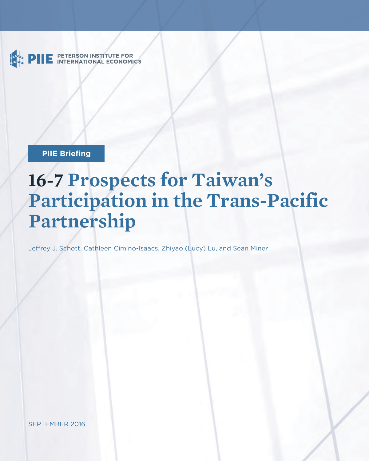PETERSON INSTITUTE FOR<br>INTERNATIONAL ECONOMICS

**PIIE Briefing** 

# **16-7 Prospects for Taiwan's Participation in the Trans-Pacific Partnership**

Jeffrey J. Schott, Cathleen Cimino-Isaacs, Zhiyao (Lucy) Lu, and Sean Miner

SEPTEMBER 2016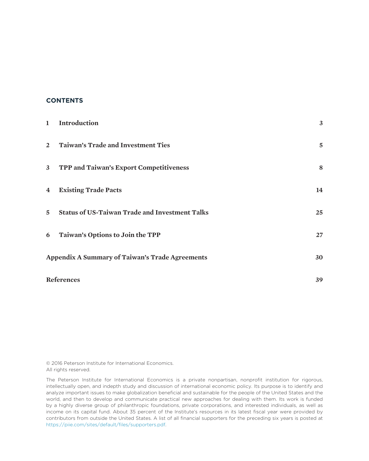### **CONTENTS**

| $\mathbf{1}$            | Introduction                                           | 3  |
|-------------------------|--------------------------------------------------------|----|
| $2^{\circ}$             | <b>Taiwan's Trade and Investment Ties</b>              | 5  |
|                         | 3 TPP and Taiwan's Export Competitiveness              | 8  |
| $\overline{\mathbf{4}}$ | <b>Existing Trade Pacts</b>                            | 14 |
| $\overline{5}$          | <b>Status of US-Taiwan Trade and Investment Talks</b>  | 25 |
| 6                       | Taiwan's Options to Join the TPP                       | 27 |
|                         | <b>Appendix A Summary of Taiwan's Trade Agreements</b> | 30 |
|                         | References                                             | 39 |

© 2016 Peterson Institute for International Economics. All rights reserved.

The Peterson Institute for International Economics is a private nonpartisan, nonprofit institution for rigorous, intellectually open, and indepth study and discussion of international economic policy. Its purpose is to identify and analyze important issues to make globalization beneficial and sustainable for the people of the United States and the world, and then to develop and communicate practical new approaches for dealing with them. Its work is funded by a highly diverse group of philanthropic foundations, private corporations, and interested individuals, as well as income on its capital fund. About 35 percent of the Institute's resources in its latest fiscal year were provided by contributors from outside the United States. A list of all financial supporters for the preceding six years is posted at https://piie.com/sites/default/files/supporters.pdf.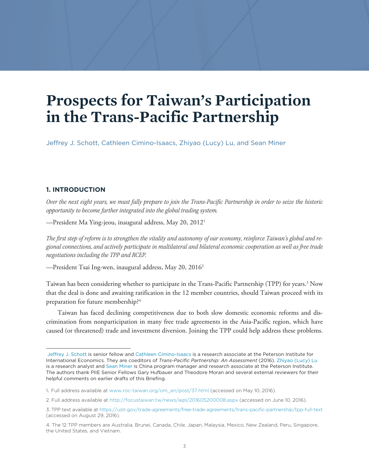## **Prospects for Taiwan's Participation in the Trans-Pacific Partnership**

Jeffrey J. Schott, Cathleen Cimino-Isaacs, Zhiyao (Lucy) Lu, and Sean Miner

*Over the next eight years, we must fully prepare to join the Trans-Pacific Partnership in order to seize the historic opportunity to become further integrated into the global trading system.*

—President Ma Ying-jeou, inaugural address, May 20, 20121

*The first step of reform is to strengthen the vitality and autonomy of our economy, reinforce Taiwan's global and regional connections, and actively participate in multilateral and bilateral economic cooperation as well as free trade negotiations including the TPP and RCEP.*

—President Tsai Ing-wen, inaugural address, May 20, 20162

Taiwan has been considering whether to participate in the Trans-Pacific Partnership (TPP) for years.<sup>3</sup> Now that the deal is done and awaiting ratification in the 12 member countries, should Taiwan proceed with its preparation for future membership?4

Taiwan has faced declining competitiveness due to both slow domestic economic reforms and discrimination from nonparticipation in many free trade agreements in the Asia-Pacific region, which have caused (or threatened) trade and investment diversion. Joining the TPP could help address these problems.

[Jeffrey J. Schott](https://piie.com/experts/senior-research-staff/jeffrey-j-schott) is senior fellow and [Cathleen Cimino-Isaacs](https://piie.com/experts/senior-research-staff/cathleen-cimino-isaacs) is a research associate at the Peterson Institute for International Economics. They are coeditors of *Trans-Pacific Partnership: An Assessment* (2016). [Zhiyao \(Lucy\) Lu](https://piie.com/experts/research-analysts/zhiyao-lucy-lu) is a research analyst and [Sean Miner](https://piie.com/experts/senior-research-staff/sean-miner) is China program manager and research associate at the Peterson Institute. The authors thank PIIE Senior Fellows Gary Hufbauer and Theodore Moran and several external reviewers for their helpful comments on earlier drafts of this Briefing.

<sup>1.</sup> Full address available at www.roc-taiwan.org/om\_en/post/37.html (accessed on May 10, 2016).

<sup>2.</sup> Full address available at http://focustaiwan.tw/news/aipl/201605200008.aspx (accessed on June 10, 2016).

<sup>3.</sup> TPP text available at https://ustr.gov/trade-agreements/free-trade-agreements/trans-pacific-partnership/tpp-full-text (accessed on August 29, 2016).

<sup>4.</sup> The 12 TPP members are Australia, Brunei, Canada, Chile, Japan, Malaysia, Mexico, New Zealand, Peru, Singapore, the United States, and Vietnam.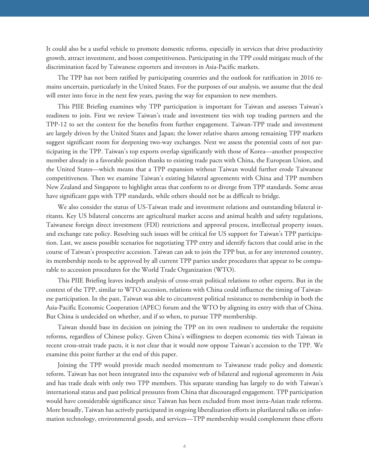It could also be a useful vehicle to promote domestic reforms, especially in services that drive productivity growth, attract investment, and boost competitiveness. Participating in the TPP could mitigate much of the discrimination faced by Taiwanese exporters and investors in Asia-Pacific markets.

The TPP has not been ratified by participating countries and the outlook for ratification in 2016 remains uncertain, particularly in the United States. For the purposes of our analysis, we assume that the deal will enter into force in the next few years, paving the way for expansion to new members.

This PIIE Briefing examines why TPP participation is important for Taiwan and assesses Taiwan's readiness to join. First we review Taiwan's trade and investment ties with top trading partners and the TPP-12 to set the context for the benefits from further engagement. Taiwan-TPP trade and investment are largely driven by the United States and Japan; the lower relative shares among remaining TPP markets suggest significant room for deepening two-way exchanges. Next we assess the potential costs of not participating in the TPP. Taiwan's top exports overlap significantly with those of Korea—another prospective member already in a favorable position thanks to existing trade pacts with China, the European Union, and the United States—which means that a TPP expansion without Taiwan would further erode Taiwanese competitiveness. Then we examine Taiwan's existing bilateral agreements with China and TPP members New Zealand and Singapore to highlight areas that conform to or diverge from TPP standards. Some areas have significant gaps with TPP standards, while others should not be as difficult to bridge.

We also consider the status of US-Taiwan trade and investment relations and outstanding bilateral irritants. Key US bilateral concerns are agricultural market access and animal health and safety regulations, Taiwanese foreign direct investment (FDI) restrictions and approval process, intellectual property issues, and exchange rate policy. Resolving such issues will be critical for US support for Taiwan's TPP participation. Last, we assess possible scenarios for negotiating TPP entry and identify factors that could arise in the course of Taiwan's prospective accession. Taiwan can ask to join the TPP but, as for any interested country, its membership needs to be approved by all current TPP parties under procedures that appear to be comparable to accession procedures for the World Trade Organization (WTO).

This PIIE Briefing leaves indepth analysis of cross-strait political relations to other experts. But in the context of the TPP, similar to WTO accession, relations with China could influence the timing of Taiwanese participation. In the past, Taiwan was able to circumvent political resistance to membership in both the Asia-Pacific Economic Cooperation (APEC) forum and the WTO by aligning its entry with that of China. But China is undecided on whether, and if so when, to pursue TPP membership.

Taiwan should base its decision on joining the TPP on its own readiness to undertake the requisite reforms, regardless of Chinese policy. Given China's willingness to deepen economic ties with Taiwan in recent cross-strait trade pacts, it is not clear that it would now oppose Taiwan's accession to the TPP. We examine this point further at the end of this paper.

Joining the TPP would provide much needed momentum to Taiwanese trade policy and domestic reform. Taiwan has not been integrated into the expansive web of bilateral and regional agreements in Asia and has trade deals with only two TPP members. This separate standing has largely to do with Taiwan's international status and past political pressures from China that discouraged engagement. TPP participation would have considerable significance since Taiwan has been excluded from most intra-Asian trade reforms. More broadly, Taiwan has actively participated in ongoing liberalization efforts in plurilateral talks on information technology, environmental goods, and services—TPP membership would complement these efforts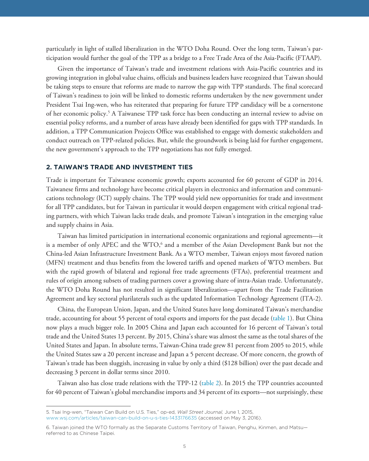particularly in light of stalled liberalization in the WTO Doha Round. Over the long term, Taiwan's participation would further the goal of the TPP as a bridge to a Free Trade Area of the Asia-Pacific (FTAAP).

Given the importance of Taiwan's trade and investment relations with Asia-Pacific countries and its growing integration in global value chains, officials and business leaders have recognized that Taiwan should be taking steps to ensure that reforms are made to narrow the gap with TPP standards. The final scorecard of Taiwan's readiness to join will be linked to domestic reforms undertaken by the new government under President Tsai Ing-wen, who has reiterated that preparing for future TPP candidacy will be a cornerstone of her economic policy.<sup>5</sup> A Taiwanese TPP task force has been conducting an internal review to advise on essential policy reforms, and a number of areas have already been identified for gaps with TPP standards. In addition, a TPP Communication Projects Office was established to engage with domestic stakeholders and conduct outreach on TPP-related policies. But, while the groundwork is being laid for further engagement, the new government's approach to the TPP negotiations has not fully emerged.

Trade is important for Taiwanese economic growth; exports accounted for 60 percent of GDP in 2014. Taiwanese firms and technology have become critical players in electronics and information and communications technology (ICT) supply chains. The TPP would yield new opportunities for trade and investment for all TPP candidates, but for Taiwan in particular it would deepen engagement with critical regional trading partners, with which Taiwan lacks trade deals, and promote Taiwan's integration in the emerging value and supply chains in Asia.

Taiwan has limited participation in international economic organizations and regional agreements—it is a member of only APEC and the WTO,<sup>6</sup> and a member of the Asian Development Bank but not the China-led Asian Infrastructure Investment Bank. As a WTO member, Taiwan enjoys most favored nation (MFN) treatment and thus benefits from the lowered tariffs and opened markets of WTO members. But with the rapid growth of bilateral and regional free trade agreements (FTAs), preferential treatment and rules of origin among subsets of trading partners cover a growing share of intra-Asian trade. Unfortunately, the WTO Doha Round has not resulted in significant liberalization—apart from the Trade Facilitation Agreement and key sectoral plurilaterals such as the updated Information Technology Agreement (ITA-2).

China, the European Union, Japan, and the United States have long dominated Taiwan's merchandise trade, accounting for about 55 percent of total exports and imports for the past decade ([table 1\)](#page-5-0). But China now plays a much bigger role. In 2005 China and Japan each accounted for 16 percent of Taiwan's total trade and the United States 13 percent. By 2015, China's share was almost the same as the total shares of the United States and Japan. In absolute terms, Taiwan-China trade grew 81 percent from 2005 to 2015, while the United States saw a 20 percent increase and Japan a 5 percent decrease. Of more concern, the growth of Taiwan's trade has been sluggish, increasing in value by only a third (\$128 billion) over the past decade and decreasing 3 percent in dollar terms since 2010.

Taiwan also has close trade relations with the TPP-12 [\(table 2\)](#page-6-0). In 2015 the TPP countries accounted for 40 percent of Taiwan's global merchandise imports and 34 percent of its exports—not surprisingly, these

<sup>5.</sup> Tsai Ing-wen, "Taiwan Can Build on U.S. Ties," op-ed, *Wall Street Journal,* June 1, 2015, www.wsj.com/articles/taiwan-can-build-on-u-s-ties-1433176635 (accessed on May 3, 2016).

<sup>6.</sup> Taiwan joined the WTO formally as the Separate Customs Territory of Taiwan, Penghu, Kinmen, and Matsu referred to as Chinese Taipei.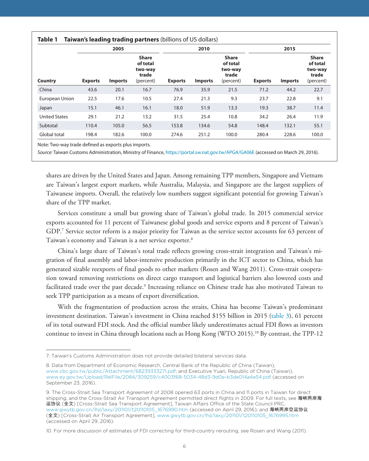<span id="page-5-0"></span>

|                      |                | 2005           |                                                           |                | 2010           |                                                           |                | 2015           |                                                           |
|----------------------|----------------|----------------|-----------------------------------------------------------|----------------|----------------|-----------------------------------------------------------|----------------|----------------|-----------------------------------------------------------|
| Country              | <b>Exports</b> | <b>Imports</b> | <b>Share</b><br>of total<br>two-way<br>trade<br>(percent) | <b>Exports</b> | <b>Imports</b> | <b>Share</b><br>of total<br>two-way<br>trade<br>(percent) | <b>Exports</b> | <b>Imports</b> | <b>Share</b><br>of total<br>two-way<br>trade<br>(percent) |
| China                | 43.6           | 20.1           | 16.7                                                      | 76.9           | 35.9           | 21.5                                                      | 71.2           | 44.2           | 22.7                                                      |
| European Union       | 22.5           | 17.6           | 10.5                                                      | 27.4           | 21.3           | 9.3                                                       | 23.7           | 22.8           | 9.1                                                       |
| Japan                | 15.1           | 46.1           | 16.1                                                      | 18.0           | 51.9           | 13.3                                                      | 19.3           | 38.7           | 11.4                                                      |
| <b>United States</b> | 29.1           | 21.2           | 13.2                                                      | 31.5           | 25.4           | 10.8                                                      | 34.2           | 26.4           | 11.9                                                      |
| Subtotal             | 110.4          | 105.0          | 56.5                                                      | 153.8          | 134.6          | 54.8                                                      | 148.4          | 132.1          | 55.1                                                      |
| Global total         | 198.4          | 182.6          | 100.0                                                     | 274.6          | 251.2          | 100.0                                                     | 280.4          | 228.6          | 100.0                                                     |

Note: Two-way trade defined as exports plus imports.

Source: Taiwan Customs Administration, Ministry of Finance, https://portal.sw.nat.gov.tw/APGA/GA06E (accessed on March 29, 2016).

shares are driven by the United States and Japan. Among remaining TPP members, Singapore and Vietnam are Taiwan's largest export markets, while Australia, Malaysia, and Singapore are the largest suppliers of Taiwanese imports. Overall, the relatively low numbers suggest significant potential for growing Taiwan's share of the TPP market.

Services constitute a small but growing share of Taiwan's global trade. In 2015 commercial service exports accounted for 11 percent of Taiwanese global goods and service exports and 8 percent of Taiwan's GDP.<sup>7</sup> Service sector reform is a major priority for Taiwan as the service sector accounts for 63 percent of Taiwan's economy and Taiwan is a net service exporter.8

China's large share of Taiwan's total trade reflects growing cross-strait integration and Taiwan's migration of final assembly and labor-intensive production primarily in the ICT sector to China, which has generated sizable reexports of final goods to other markets (Rosen and Wang 2011). Cross-strait cooperation toward removing restrictions on direct cargo transport and logistical barriers also lowered costs and facilitated trade over the past decade.<sup>9</sup> Increasing reliance on Chinese trade has also motivated Taiwan to seek TPP participation as a means of export diversification.

With the fragmentation of production across the straits, China has become Taiwan's predominant investment destination. Taiwan's investment in China reached \$155 billion in 2015 ([table 3](#page-7-0)), 61 percent of its total outward FDI stock. And the official number likely underestimates actual FDI flows as investors continue to invest in China through locations such as Hong Kong (WTO 2015).10 By contrast, the TPP-12

<sup>7.</sup> Taiwan's Customs Administration does not provide detailed bilateral services data.

<sup>8.</sup> Data from Department of Economic Research, Central Bank of the Republic of China (Taiwan), www.cbc.gov.tw/public/Attachment/68239333271.pdf; and Executive Yuan, Republic of China (Taiwan), www.ey.gov.tw/Upload/RelFile/2084/309259/c4003f68-5034-48d3-9d0e-b3de014a4e54.pdf (accessed on September 23, 2016).

<sup>9.</sup> The Cross-Strait Sea Transport Agreement of 2008 opened 63 ports in China and 11 ports in Taiwan for direct shipping, and the Cross-Strait Air Transport Agreement permitted direct flights in 2009. For full texts, see 海峡两岸海 运协议 (全文) [Cross-Strait Sea Transport Agreement], Taiwan Affairs Office of the State Council PRC, www.gwytb.gov.cn/lhjl/laxy/201101/t20110105\_1676990.htm (accessed on April 29, 2016); and 海峡两岸空运协议 (全文) [Cross-Strait Air Transport Agreement], www.gwytb.gov.cn/lhjl/laxy/201101/t20110105\_1676995.htm (accessed on April 29, 2016).

<sup>10.</sup> For more discussion of estimates of FDI correcting for third-country rerouting, see Rosen and Wang (2011).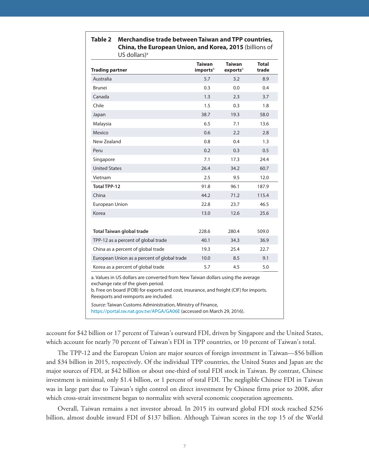| US GOITALS)                                                                                                                                                                                                                                              |                                       |                           |                       |  |  |  |  |
|----------------------------------------------------------------------------------------------------------------------------------------------------------------------------------------------------------------------------------------------------------|---------------------------------------|---------------------------|-----------------------|--|--|--|--|
| <b>Trading partner</b>                                                                                                                                                                                                                                   | <b>Taiwan</b><br>imports <sup>b</sup> | <b>Taiwan</b><br>exportsb | <b>Total</b><br>trade |  |  |  |  |
| Australia                                                                                                                                                                                                                                                | 5.7                                   | 3.2                       | 8.9                   |  |  |  |  |
| Brunei                                                                                                                                                                                                                                                   | 0.3                                   | 0.0                       | 0.4                   |  |  |  |  |
| Canada                                                                                                                                                                                                                                                   | 1.3                                   | 2.3                       | 3.7                   |  |  |  |  |
| Chile                                                                                                                                                                                                                                                    | 1.5                                   | 0.3                       | 1.8                   |  |  |  |  |
| Japan                                                                                                                                                                                                                                                    | 38.7                                  | 19.3                      | 58.0                  |  |  |  |  |
| Malaysia                                                                                                                                                                                                                                                 | 6.5                                   | 7.1                       | 13.6                  |  |  |  |  |
| Mexico                                                                                                                                                                                                                                                   | 0.6                                   | 2.2                       | 2.8                   |  |  |  |  |
| New Zealand                                                                                                                                                                                                                                              | 0.8                                   | 0.4                       | 1.3                   |  |  |  |  |
| Peru                                                                                                                                                                                                                                                     | 0.2                                   | 0.3                       | 0.5                   |  |  |  |  |
| Singapore                                                                                                                                                                                                                                                | 7.1                                   | 17.3                      | 24.4                  |  |  |  |  |
| <b>United States</b>                                                                                                                                                                                                                                     | 26.4                                  | 34.2                      | 60.7                  |  |  |  |  |
| Vietnam                                                                                                                                                                                                                                                  | 2.5                                   | 9.5                       | 12.0                  |  |  |  |  |
| <b>Total TPP-12</b>                                                                                                                                                                                                                                      | 91.8                                  | 96.1                      | 187.9                 |  |  |  |  |
| China                                                                                                                                                                                                                                                    | 44.2                                  | 71.2                      | 115.4                 |  |  |  |  |
| European Union                                                                                                                                                                                                                                           | 22.8                                  | 23.7                      | 46.5                  |  |  |  |  |
| Korea                                                                                                                                                                                                                                                    | 13.0                                  | 12.6                      | 25.6                  |  |  |  |  |
| Total Taiwan global trade                                                                                                                                                                                                                                | 228.6                                 | 280.4                     | 509.0                 |  |  |  |  |
| TPP-12 as a percent of global trade                                                                                                                                                                                                                      | 40.1                                  | 34.3                      | 36.9                  |  |  |  |  |
| China as a percent of global trade                                                                                                                                                                                                                       | 19.3                                  | 25.4                      | 22.7                  |  |  |  |  |
| European Union as a percent of global trade                                                                                                                                                                                                              | 10.0                                  | 8.5                       | 9.1                   |  |  |  |  |
| Korea as a percent of global trade                                                                                                                                                                                                                       | 5.7                                   | 4.5                       | 5.0                   |  |  |  |  |
| a. Values in US dollars are converted from New Taiwan dollars using the average<br>exchange rate of the given period.<br>b. Free on board (FOB) for exports and cost, insurance, and freight (CIF) for imports.<br>Reexports and reimports are included. |                                       |                           |                       |  |  |  |  |
| Source: Taiwan Customs Administration, Ministry of Finance,<br>https://portal.sw.nat.gov.tw/APGA/GA06E (accessed on March 29, 2016).                                                                                                                     |                                       |                           |                       |  |  |  |  |

#### <span id="page-6-0"></span>**Table 2 Merchandise trade between Taiwan and TPP countries, China, the European Union, and Korea, 2015** (billions of US dollars)a

account for \$42 billion or 17 percent of Taiwan's outward FDI, driven by Singapore and the United States, which account for nearly 70 percent of Taiwan's FDI in TPP countries, or 10 percent of Taiwan's total.

The TPP-12 and the European Union are major sources of foreign investment in Taiwan—\$56 billion and \$34 billion in 2015, respectively. Of the individual TPP countries, the United States and Japan are the major sources of FDI, at \$42 billion or about one-third of total FDI stock in Taiwan. By contrast, Chinese investment is minimal, only \$1.4 billion, or 1 percent of total FDI. The negligible Chinese FDI in Taiwan was in large part due to Taiwan's tight control on direct investment by Chinese firms prior to 2008, after which cross-strait investment began to normalize with several economic cooperation agreements.

Overall, Taiwan remains a net investor abroad. In 2015 its outward global FDI stock reached \$256 billion, almost double inward FDI of \$137 billion. Although Taiwan scores in the top 15 of the World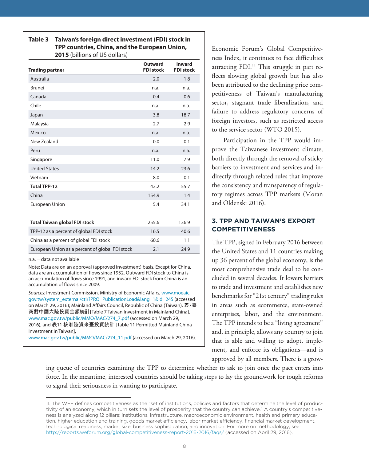#### <span id="page-7-0"></span>**Table 3 Taiwan's foreign direct investment (FDI) stock in TPP countries, China, and the European Union, 2015** (billions of US dollars)

| <b>Trading partner</b>                          | <b>Outward</b><br><b>FDI stock</b> | <b>Inward</b><br><b>FDI stock</b> |
|-------------------------------------------------|------------------------------------|-----------------------------------|
| Australia                                       | 2.0                                | 1.8                               |
| <b>Brunei</b>                                   | n.a.                               | n.a.                              |
| Canada                                          | 0.4                                | 0.6                               |
| Chile                                           | n.a.                               | n.a.                              |
| Japan                                           | 3.8                                | 18.7                              |
| Malaysia                                        | 2.7                                | 2.9                               |
| Mexico                                          | n.a.                               | n.a.                              |
| New Zealand                                     | 0.0                                | 0.1                               |
| Peru                                            | n.a.                               | n.a.                              |
| Singapore                                       | 11.0                               | 7.9                               |
| <b>United States</b>                            | 14.2                               | 23.6                              |
| Vietnam                                         | 8.0                                | 0.1                               |
| <b>Total TPP-12</b>                             | 42.2                               | 55.7                              |
| China                                           | 154.9                              | 1.4                               |
| European Union                                  | 5.4                                | 34.1                              |
| Total Taiwan global FDI stock                   | 255.6                              | 136.9                             |
| TPP-12 as a percent of global FDI stock         | 16.5                               | 40.6                              |
| China as a percent of global FDI stock          | 60.6                               | 1.1                               |
| European Union as a percent of global FDI stock | 2.1                                | 24.9                              |

n.a. = data not available

Note: Data are on an approval (approved investment) basis. Except for China, data are an accumulation of flows since 1952. Outward FDI stock to China is an accumulation of flows since 1991, and inward FDI stock from China is an accumulation of flows since 2009.

Sources: Investment Commission, Ministry of Economic Affairs, www.moeaic. [gov.tw/system\\_external/ctlr?PRO=PublicationLoad&lang=1&id=245 \(accesse](www.moeaic.gov.tw/system_external/ctlr?PRO=PublicationLoad&lang=1&id=245)d on March 29, 2016); Mainland Affairs Council, Republic of China (Taiwan), 表7臺 商對中國大陸投資金額統計[Table 7 Taiwan Investment in Mainland China], www.mac.gov.tw/public/MMO/MAC/274\_7.pdf (accessed on March 29, 2016), and 表11 核准陸資來臺投資統計 [Table 11 Permitted Mainland China Investment in Taiwan],

www.mac.gov.tw/public/MMO/MAC/274\_11.pdf (accessed on March 29, 2016).

Economic Forum's Global Competitiveness Index, it continues to face difficulties attracting FDI.<sup>11</sup> This struggle in part reflects slowing global growth but has also been attributed to the declining price competitiveness of Taiwan's manufacturing sector, stagnant trade liberalization, and failure to address regulatory concerns of foreign investors, such as restricted access to the service sector (WTO 2015).

Participation in the TPP would improve the Taiwanese investment climate, both directly through the removal of sticky barriers to investment and services and indirectly through related rules that improve the consistency and transparency of regulatory regimes across TPP markets (Moran and Oldenski 2016).

## **3. TPP AND TAIWAN'S EXPORT COMPETITIVENESS**

The TPP, signed in February 2016 between the United States and 11 countries making up 36 percent of the global economy, is the most comprehensive trade deal to be concluded in several decades. It lowers barriers to trade and investment and establishes new benchmarks for "21st century" trading rules in areas such as ecommerce, state-owned enterprises, labor, and the environment. The TPP intends to be a "living agreement" and, in principle, allows any country to join that is able and willing to adopt, implement, and enforce its obligations—and is approved by all members. There is a grow-

ing queue of countries examining the TPP to determine whether to ask to join once the pact enters into force. In the meantime, interested countries should be taking steps to lay the groundwork for tough reforms to signal their seriousness in wanting to participate.

<sup>11.</sup> The WEF defines competitiveness as the "set of institutions, policies and factors that determine the level of productivity of an economy, which in turn sets the level of prosperity that the country can achieve." A country's competitiveness is analyzed along 12 pillars: institutions, infrastructure, macroeconomic environment, health and primary education, higher education and training, goods market efficiency, labor market efficiency, financial market development, technological readiness, market size, business sophistication, and innovation. For more on methodology, see http://reports.weforum.org/global-competitiveness-report-2015-2016/faqs/ (accessed on April 29, 2016).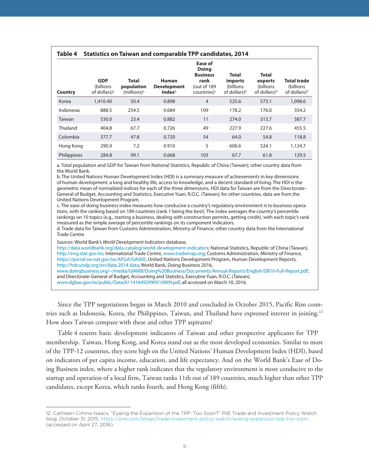<span id="page-8-0"></span>

| Country     | <b>GDP</b><br>(billions<br>of dollars) <sup>a</sup> | <b>Total</b><br>population<br>$(millions)^a$ | <b>Human</b><br><b>Development</b><br><b>Index</b> <sup>b</sup> | Ease of<br><b>Doing</b><br><b>Business</b><br>rank<br>(out of 189<br>countries) <sup>c</sup> | <b>Total</b><br>imports<br>(billions)<br>of dollars) <sup>d</sup> | <b>Total</b><br>exports<br>(billions)<br>of dollars) <sup>d</sup> | <b>Total trade</b><br>(billions)<br>of dollars) <sup>d</sup> |
|-------------|-----------------------------------------------------|----------------------------------------------|-----------------------------------------------------------------|----------------------------------------------------------------------------------------------|-------------------------------------------------------------------|-------------------------------------------------------------------|--------------------------------------------------------------|
| Korea       | 1,410.40                                            | 50.4                                         | 0.898                                                           | $\overline{4}$                                                                               | 525.6                                                             | 573.1                                                             | 1,098.6                                                      |
| Indonesia   | 888.5                                               | 254.5                                        | 0.684                                                           | 109                                                                                          | 178.2                                                             | 176.0                                                             | 354.2                                                        |
| Taiwan      | 530.0                                               | 23.4                                         | 0.882                                                           | 11                                                                                           | 274.0                                                             | 313.7                                                             | 587.7                                                        |
| Thailand    | 404.8                                               | 67.7                                         | 0.726                                                           | 49                                                                                           | 227.9                                                             | 227.6                                                             | 455.5                                                        |
| Colombia    | 377.7                                               | 47.8                                         | 0.720                                                           | 54                                                                                           | 64.0                                                              | 54.8                                                              | 118.8                                                        |
| Hong Kong   | 290.9                                               | 7.2                                          | 0.910                                                           | 5                                                                                            | 600.6                                                             | 524.1                                                             | 1,124.7                                                      |
| Philippines | 284.8                                               | 99.1                                         | 0.668                                                           | 103                                                                                          | 67.7                                                              | 61.8                                                              | 129.5                                                        |

a. Total population and GDP for Taiwan from National Statistics, Republic of China (Taiwan); other country data from the World Bank.

b. The United Nations Human Development Index (HDI) is a summary measure of achievements in key dimensions of human development: a long and healthy life, access to knowledge, and a decent standard of living. The HDI is the geometric mean of normalized indices for each of the three dimensions. HDI data for Taiwan are from the Directorate-General of Budget, Accounting and Statistics, Executive Yuan, R.O.C. (Taiwan); for other countries, data are from the United Nations Development Program.

c. The ease of doing business index measures how conducive a country's regulatory environment is to business operations, with the ranking based on 189 countries (rank 1 being the best). The index averages the country's percentile rankings on 10 topics (e.g., starting a business, dealing with construction permits, getting credit), with each topic's rank measured as the simple average of percentile rankings on its component indicators.

d. Trade data for Taiwan from Customs Administration, Ministry of Finance; other country data from the International Trade Centre.

Sources: World Bank's World Development Indicators database,

http://data.worldbank.org/data-catalog/world-development-indicators; National Statistics, Republic of China (Taiwan), http://eng.stat.gov.tw; International Trade Centre, www.trademap.org; Customs Administration, Ministry of Finance, https://portal.sw.nat.gov.tw/APGA/GA06E; United Nations Development Program, Human Development Reports, http://hdr.undp.org/en/data.2014 data; World Bank, Doing Business 2016,

www.doingbusiness.org/~/media/GIAWB/Doing%20Business/Documents/Annual-Reports/English/DB16-Full-Report.pdf; and Directorate-General of Budget, Accounting and Statistics, Executive Yuan, R.O.C. (Taiwan), www.dgbas.gov.tw/public/Data/611416492990V10W9I.pdf, all accessed on March 10, 2016.

Since the TPP negotiations began in March 2010 and concluded in October 2015, Pacific Rim countries such as Indonesia, Korea, the Philippines, Taiwan, and Thailand have expressed interest in joining.<sup>12</sup> How does Taiwan compare with these and other TPP aspirants?

Table 4 resents basic development indicators of Taiwan and other prospective applicants for TPP membership. Taiwan, Hong Kong, and Korea stand out as the most developed economies. Similar to most of the TPP-12 countries, they score high on the United Nations' Human Development Index (HDI), based on indicators of per capita income, education, and life expectancy. And on the World Bank's Ease of Doing Business index, where a higher rank indicates that the regulatory environment is more conducive to the startup and operation of a local firm, Taiwan ranks 11th out of 189 countries, much higher than other TPP candidates, except Korea, which ranks fourth, and Hong Kong (fifth).

<sup>12.</sup> Cathleen Cimino-Isaacs, "Eyeing the Expansion of the TPP: Too Soon?" PIIE Trade and Investment Policy Watch blog, October 31, 2015, https://piie.com/blogs/trade-investment-policy-watch/eyeing-expansion-tpp-too-soon (accessed on April 27, 2016).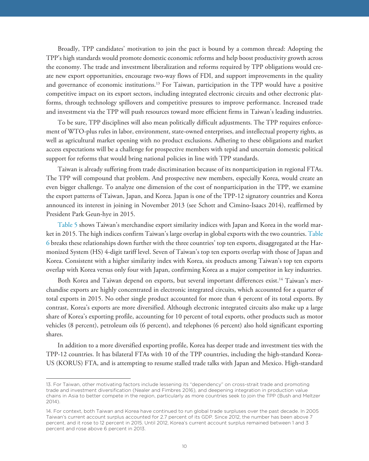Broadly, TPP candidates' motivation to join the pact is bound by a common thread: Adopting the TPP's high standards would promote domestic economic reforms and help boost productivity growth across the economy. The trade and investment liberalization and reforms required by TPP obligations would create new export opportunities, encourage two-way flows of FDI, and support improvements in the quality and governance of economic institutions.13 For Taiwan, participation in the TPP would have a positive competitive impact on its export sectors, including integrated electronic circuits and other electronic platforms, through technology spillovers and competitive pressures to improve performance. Increased trade and investment via the TPP will push resources toward more efficient firms in Taiwan's leading industries.

To be sure, TPP disciplines will also mean politically difficult adjustments. The TPP requires enforcement of WTO-plus rules in labor, environment, state-owned enterprises, and intellectual property rights, as well as agricultural market opening with no product exclusions. Adhering to these obligations and market access expectations will be a challenge for prospective members with tepid and uncertain domestic political support for reforms that would bring national policies in line with TPP standards.

Taiwan is already suffering from trade discrimination because of its nonparticipation in regional FTAs. The TPP will compound that problem. And prospective new members, especially Korea, would create an even bigger challenge. To analyze one dimension of the cost of nonparticipation in the TPP, we examine the export patterns of Taiwan, Japan, and Korea. Japan is one of the TPP-12 signatory countries and Korea announced its interest in joining in November 2013 (see Schott and Cimino-Isaacs 2014), reaffirmed by President Park Geun-hye in 2015.

[Table 5](#page-10-0) shows Taiwan's merchandise export similarity indices with Japan and Korea in the world market in 2015. The high indices confirm Taiwan's large overlap in global exports with the two countries. [Table](#page-11-0) [6](#page-11-0) breaks these relationships down further with the three countries' top ten exports, disaggregated at the Harmonized System (HS) 4-digit tariff level. Seven of Taiwan's top ten exports overlap with those of Japan and Korea. Consistent with a higher similarity index with Korea, six products among Taiwan's top ten exports overlap with Korea versus only four with Japan, confirming Korea as a major competitor in key industries.

Both Korea and Taiwan depend on exports, but several important differences exist.<sup>14</sup> Taiwan's merchandise exports are highly concentrated in electronic integrated circuits, which accounted for a quarter of total exports in 2015. No other single product accounted for more than 4 percent of its total exports. By contrast, Korea's exports are more diversified. Although electronic integrated circuits also make up a large share of Korea's exporting profile, accounting for 10 percent of total exports, other products such as motor vehicles (8 percent), petroleum oils (6 percent), and telephones (6 percent) also hold significant exporting shares.

In addition to a more diversified exporting profile, Korea has deeper trade and investment ties with the TPP-12 countries. It has bilateral FTAs with 10 of the TPP countries, including the high-standard Korea-US (KORUS) FTA, and is attempting to resume stalled trade talks with Japan and Mexico. High-standard

<sup>13.</sup> For Taiwan, other motivating factors include lessening its "dependency" on cross-strait trade and promoting trade and investment diversification (Nealer and Fimbres 2016), and deepening integration in production value chains in Asia to better compete in the region, particularly as more countries seek to join the TPP (Bush and Meltzer 2014).

<sup>14.</sup> For context, both Taiwan and Korea have continued to run global trade surpluses over the past decade. In 2005 Taiwan's current account surplus accounted for 2.7 percent of its GDP. Since 2012, the number has been above 7 percent, and it rose to 12 percent in 2015. Until 2012, Korea's current account surplus remained between 1 and 3 percent and rose above 6 percent in 2013.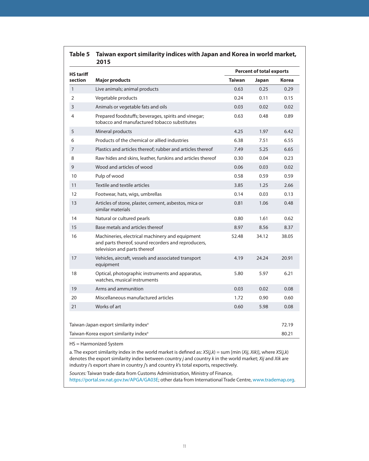<span id="page-10-0"></span>

| <b>HS tariff</b> |                                                                                                                                        |               | <b>Percent of total exports</b> |       |
|------------------|----------------------------------------------------------------------------------------------------------------------------------------|---------------|---------------------------------|-------|
| section          | <b>Major products</b>                                                                                                                  | <b>Taiwan</b> | Japan                           | Korea |
| $\mathbf{1}$     | Live animals; animal products                                                                                                          | 0.63          | 0.25                            | 0.29  |
| $\overline{2}$   | Vegetable products                                                                                                                     | 0.24          | 0.11                            | 0.15  |
| 3                | Animals or vegetable fats and oils                                                                                                     | 0.03          | 0.02                            | 0.02  |
| $\overline{4}$   | Prepared foodstuffs; beverages, spirits and vinegar;<br>tobacco and manufactured tobacco substitutes                                   | 0.63          | 0.48                            | 0.89  |
| 5                | Mineral products                                                                                                                       | 4.25          | 1.97                            | 6.42  |
| 6                | Products of the chemical or allied industries                                                                                          | 6.38          | 7.51                            | 6.55  |
| 7                | Plastics and articles thereof; rubber and articles thereof                                                                             | 7.49          | 5.25                            | 6.65  |
| 8                | Raw hides and skins, leather, furskins and articles thereof                                                                            | 0.30          | 0.04                            | 0.23  |
| 9                | Wood and articles of wood                                                                                                              | 0.06          | 0.03                            | 0.02  |
| 10               | Pulp of wood                                                                                                                           | 0.58          | 0.59                            | 0.59  |
| 11               | Textile and textile articles                                                                                                           | 3.85          | 1.25                            | 2.66  |
| 12               | Footwear, hats, wigs, umbrellas                                                                                                        | 0.14          | 0.03                            | 0.13  |
| 13               | Articles of stone, plaster, cement, asbestos, mica or<br>similar materials                                                             | 0.81          | 1.06                            | 0.48  |
| 14               | Natural or cultured pearls                                                                                                             | 0.80          | 1.61                            | 0.62  |
| 15               | Base metals and articles thereof                                                                                                       | 8.97          | 8.56                            | 8.37  |
| 16               | Machineries, electrical machinery and equipment<br>and parts thereof, sound recorders and reproducers,<br>television and parts thereof | 52.48         | 34.12                           | 38.05 |
| 17               | Vehicles, aircraft, vessels and associated transport<br>equipment                                                                      | 4.19          | 24.24                           | 20.91 |
| 18               | Optical, photographic instruments and apparatus,<br>watches, musical instruments                                                       | 5.80          | 5.97                            | 6.21  |
| 19               | Arms and ammunition                                                                                                                    | 0.03          | 0.02                            | 0.08  |
| 20               | Miscellaneous manufactured articles                                                                                                    | 1.72          | 0.90                            | 0.60  |
| 21               | Works of art                                                                                                                           | 0.60          | 5.98                            | 0.08  |
|                  | Taiwan-Japan export similarity index <sup>a</sup>                                                                                      |               |                                 | 72.19 |
|                  | Taiwan-Korea export similarity index <sup>a</sup>                                                                                      |               |                                 | 80.21 |

denotes the export similarity index between country j and country k in the world market; Xij and Xik are industry i's export share in country j's and country k's total exports, respectively.

Sources: Taiwan trade data from Customs Administration, Ministry of Finance, https://portal.sw.nat.gov.tw/APGA/GA03E; other data from International Trade Centre, www.trademap.org.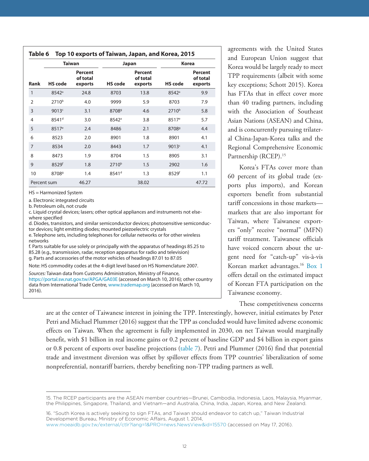<span id="page-11-0"></span>

|                |                   | <b>Taiwan</b>                  |                   | Japan                          | <b>Korea</b>      |                                       |  |
|----------------|-------------------|--------------------------------|-------------------|--------------------------------|-------------------|---------------------------------------|--|
| Rank           | <b>HS</b> code    | Percent<br>of total<br>exports | <b>HS</b> code    | Percent<br>of total<br>exports | <b>HS</b> code    | <b>Percent</b><br>of total<br>exports |  |
| $\mathbf{1}$   | 8542 <sup>a</sup> | 24.8                           | 8703              | 13.8                           | $8542^{\circ}$    | 9.9                                   |  |
| $\overline{2}$ | $2710^{b}$        | 4.0                            | 9999              | 5.9                            | 8703              | 7.9                                   |  |
| 3              | 9013c             | 3.1                            | 8708 <sup>9</sup> | 4.6                            | $2710^{b}$        | 5.8                                   |  |
| 4              | 8541 <sup>d</sup> | 3.0                            | 8542 <sup>a</sup> | 3.8                            | 8517 <sup>e</sup> | 5.7                                   |  |
| 5              | 8517 <sup>e</sup> | 2.4                            | 8486              | 2.1                            | 8708 <sup>9</sup> | 4.4                                   |  |
| 6              | 8523              | 2.0                            | 8901              | 1.8                            | 8901              | 4.1                                   |  |
| 7              | 8534              | 2.0                            | 8443              | 1.7                            | 9013 <sup>c</sup> | 4.1                                   |  |
| 8              | 8473              | 1.9                            | 8704              | 1.5                            | 8905              | 3.1                                   |  |
| 9              | 8529f             | 1.8                            | 2710 <sup>b</sup> | 1.5                            | 2902              | 1.6                                   |  |
| 10             | 8708 <sup>9</sup> | 1.4                            | 8541 <sup>d</sup> | 1.3                            | 8529f             | 1.1                                   |  |
| Percent sum    |                   | 46.27                          |                   | 38.02                          |                   | 47.72                                 |  |

HS = Harmonized System

a. Electronic integrated circuits

b. Petroleum oils, not crude

c. Liquid crystal devices; lasers; other optical appliances and instruments not elsewhere specified

d. Diodes, transistors, and similar semiconductor devices; photosensitive semiconductor devices; light emitting diodes; mounted piezoelectric crystals

e. Telephone sets, including telephones for cellular networks or for other wireless networks

f. Parts suitable for use solely or principally with the apparatus of headings 85.25 to 85.28 (e.g., transmission, radar, reception apparatus for radio and television) g. Parts and accessories of the motor vehicles of headings 87.01 to 87.05

Note: HS commodity codes at the 4-digit level based on HS Nomenclature 2007.

Sources: Taiwan data from Customs Administration, Ministry of Finance, https://portal.sw.nat.gov.tw/APGA/GA03E (accessed on March 10, 2016); other country data from International Trade Centre, www.trademap.org (accessed on March 10, 2016).

agreements with the United States and European Union suggest that Korea would be largely ready to meet TPP requirements (albeit with some key exceptions; Schott 2015). Korea has FTAs that in effect cover more than 40 trading partners, including with the Association of Southeast Asian Nations (ASEAN) and China, and is concurrently pursuing trilateral China-Japan-Korea talks and the Regional Comprehensive Economic Partnership (RCEP).<sup>15</sup>

Korea's FTAs cover more than 60 percent of its global trade (exports plus imports), and Korean exporters benefit from substantial tariff concessions in those markets markets that are also important for Taiwan, where Taiwanese exporters "only" receive "normal" (MFN) tariff treatment. Taiwanese officials have voiced concern about the urgent need for "catch-up" vis-à-vis Korean market advantages.<sup>16</sup> [Box 1](#page-12-0) offers detail on the estimated impact of Korean FTA participation on the Taiwanese economy.

These competitiveness concerns

are at the center of Taiwanese interest in joining the TPP. Interestingly, however, initial estimates by Peter Petri and Michael Plummer (2016) suggest that the TPP as concluded would have limited adverse economic effects on Taiwan. When the agreement is fully implemented in 2030, on net Taiwan would marginally benefit, with \$1 billion in real income gains or 0.2 percent of baseline GDP and \$4 billion in export gains or 0.8 percent of exports over baseline projections ([table 7](#page-13-0)). Petri and Plummer (2016) find that potential trade and investment diversion was offset by spillover effects from TPP countries' liberalization of some nonpreferential, nontariff barriers, thereby benefiting non-TPP trading partners as well.

<sup>15.</sup> The RCEP participants are the ASEAN member countries—Brunei, Cambodia, Indonesia, Laos, Malaysia, Myanmar, the Philippines, Singapore, Thailand, and Vietnam—and Australia, China, India, Japan, Korea, and New Zealand.

<sup>16. &</sup>quot;South Korea is actively seeking to sign FTAs, and Taiwan should endeavor to catch up," Taiwan Industrial Development Bureau, Ministry of Economic Affairs, August 1, 2014,

www.moeaidb.gov.tw/external/ctlr?lang=1&PRO=news.NewsView&id=15570 (accessed on May 17, 2016).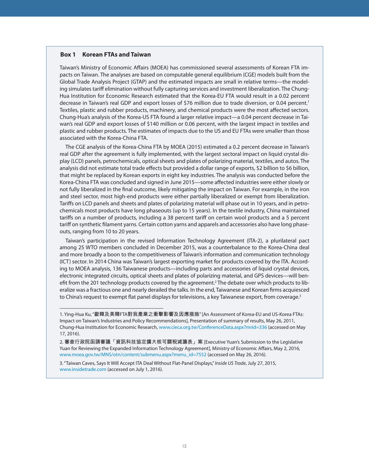#### <span id="page-12-0"></span>**Box 1 Korean FTAs and Taiwan**

Taiwan's Ministry of Economic Affairs (MOEA) has commissioned several assessments of Korean FTA impacts on Taiwan. The analyses are based on computable general equilibrium (CGE) models built from the Global Trade Analysis Project (GTAP) and the estimated impacts are small in relative terms—the modeling simulates tariff elimination without fully capturing services and investment liberalization. The Chung-Hua Institution for Economic Research estimated that the Korea-EU FTA would result in a 0.02 percent decrease in Taiwan's real GDP and export losses of \$76 million due to trade diversion, or 0.04 percent.<sup>1</sup> Textiles, plastic and rubber products, machinery, and chemical products were the most affected sectors. Chung-Hua's analysis of the Korea-US FTA found a larger relative impact—a 0.04 percent decrease in Taiwan's real GDP and export losses of \$140 million or 0.06 percent, with the largest impact in textiles and plastic and rubber products. The estimates of impacts due to the US and EU FTAs were smaller than those associated with the Korea-China FTA.

The CGE analysis of the Korea-China FTA by MOEA (2015) estimated a 0.2 percent decrease in Taiwan's real GDP after the agreement is fully implemented, with the largest sectoral impact on liquid crystal display (LCD) panels, petrochemicals, optical sheets and plates of polarizing material, textiles, and autos. The analysis did not estimate total trade effects but provided a dollar range of exports, \$2 billion to \$6 billion, that might be replaced by Korean exports in eight key industries. The analysis was conducted before the Korea-China FTA was concluded and signed in June 2015—some affected industries were either slowly or not fully liberalized in the final outcome, likely mitigating the impact on Taiwan. For example, in the iron and steel sector, most high-end products were either partially liberalized or exempt from liberalization. Tariffs on LCD panels and sheets and plates of polarizing material will phase out in 10 years, and in petrochemicals most products have long phaseouts (up to 15 years). In the textile industry, China maintained tariffs on a number of products, including a 38 percent tariff on certain wool products and a 5 percent tariff on synthetic filament yarns. Certain cotton yarns and apparels and accessories also have long phaseouts, ranging from 10 to 20 years.

Taiwan's participation in the revised Information Technology Agreement (ITA-2), a plurilateral pact among 25 WTO members concluded in December 2015, was a counterbalance to the Korea-China deal and more broadly a boon to the competitiveness of Taiwan's information and communication technology (ICT) sector. In 2014 China was Taiwan's largest exporting market for products covered by the ITA. According to MOEA analysis, 136 Taiwanese products—including parts and accessories of liquid crystal devices, electronic integrated circuits, optical sheets and plates of polarizing material, and GPS devices—will benefit from the 201 technology products covered by the agreement.2 The debate over which products to liberalize was a fractious one and nearly derailed the talks. In the end, Taiwanese and Korean firms acquiesced to China's request to exempt flat panel displays for televisions, a key Taiwanese export, from coverage.<sup>3</sup>

1. Ying-Hua Ku, "歐韓及美韓FTA對我產業之衝擊影響及因應措施" [An Assessment of Korea-EU and US-Korea FTAs: Impact on Taiwan's Industries and Policy Recommendations], Presentation of summary of results, May 26, 2011, Chung-Hua Institution for Economic Research, www.cieca.org.tw/ConferenceData.aspx?mrid=336 (accessed on May 17, 2016).

2. 審查行政院函請審議「資訊科技協定擴大核可關稅減讓表」案 [Executive Yuan's Submission to the Legislative Yuan for Reviewing the Expanded Information Technology Agreement], Ministry of Economic Affairs, May 2, 2016, www.moea.gov.tw/MNS/otn/content/submenu.aspx?menu\_id=7552 (accessed on May 26, 2016).

3. "Taiwan Caves, Says It Will Accept ITA Deal Without Flat-Panel Displays," Inside US Trade, July 27, 2015, www.insidetrade.com (accessed on July 1, 2016).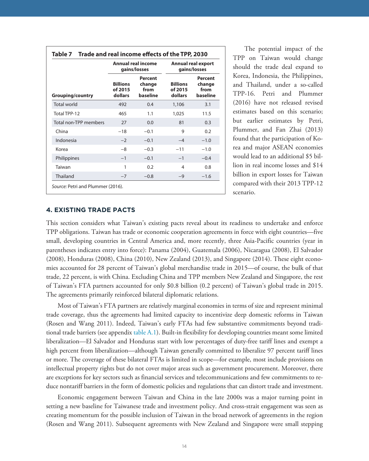<span id="page-13-0"></span>

|                         |                                       | Annual real income<br>gains/losses    |                                       | Annual real export<br>gains/losses    |
|-------------------------|---------------------------------------|---------------------------------------|---------------------------------------|---------------------------------------|
| <b>Grouping/country</b> | <b>Billions</b><br>of 2015<br>dollars | Percent<br>change<br>from<br>baseline | <b>Billions</b><br>of 2015<br>dollars | Percent<br>change<br>from<br>baseline |
| <b>Total world</b>      | 492                                   | 0.4                                   | 1,106                                 | 3.1                                   |
| Total TPP-12            | 465                                   | 1.1                                   | 1,025                                 | 11.5                                  |
| Total non-TPP members   | 27                                    | 0.0                                   | 81                                    | 0.3                                   |
| China                   | $-18$                                 | $-0.1$                                | 9                                     | 0.2                                   |
| Indonesia               | $-2$                                  | $-0.1$                                | $-4$                                  | $-1.0$                                |
| Korea                   | $-8$                                  | $-0.3$                                | $-11$                                 | $-1.0$                                |
| Philippines             | $-1$                                  | $-0.1$                                | $-1$                                  | $-0.4$                                |
| Taiwan                  | 1                                     | 0.2                                   | 4                                     | 0.8                                   |
| Thailand                | $-7$                                  | $-0.8$                                | $-9$                                  | $-1.6$                                |

The potential impact of the TPP on Taiwan would change should the trade deal expand to Korea, Indonesia, the Philippines, and Thailand, under a so-called TPP-16. Petri and Plummer (2016) have not released revised estimates based on this scenario; but earlier estimates by Petri, Plummer, and Fan Zhai (2013) found that the participation of Korea and major ASEAN economies would lead to an additional \$5 billion in real income losses and \$14 billion in export losses for Taiwan compared with their 2013 TPP-12 scenario.

#### **4. EXISTING TRADE PACTS**

This section considers what Taiwan's existing pacts reveal about its readiness to undertake and enforce TPP obligations. Taiwan has trade or economic cooperation agreements in force with eight countries—five small, developing countries in Central America and, more recently, three Asia-Pacific countries (year in parentheses indicates entry into force): Panama (2004), Guatemala (2006), Nicaragua (2008), El Salvador (2008), Honduras (2008), China (2010), New Zealand (2013), and Singapore (2014). These eight economies accounted for 28 percent of Taiwan's global merchandise trade in 2015—of course, the bulk of that trade, 22 percent, is with China. Excluding China and TPP members New Zealand and Singapore, the rest of Taiwan's FTA partners accounted for only \$0.8 billion (0.2 percent) of Taiwan's global trade in 2015. The agreements primarily reinforced bilateral diplomatic relations.

Most of Taiwan's FTA partners are relatively marginal economies in terms of size and represent minimal trade coverage, thus the agreements had limited capacity to incentivize deep domestic reforms in Taiwan (Rosen and Wang 2011). Indeed, Taiwan's early FTAs had few substantive commitments beyond traditional trade barriers (see appendix [table A.1](#page-29-0)). Built-in flexibility for developing countries meant some limited liberalization—El Salvador and Honduras start with low percentages of duty-free tariff lines and exempt a high percent from liberalization—although Taiwan generally committed to liberalize 97 percent tariff lines or more. The coverage of these bilateral FTAs is limited in scope—for example, most include provisions on intellectual property rights but do not cover major areas such as government procurement. Moreover, there are exceptions for key sectors such as financial services and telecommunications and few commitments to reduce nontariff barriers in the form of domestic policies and regulations that can distort trade and investment.

Economic engagement between Taiwan and China in the late 2000s was a major turning point in setting a new baseline for Taiwanese trade and investment policy. And cross-strait engagement was seen as creating momentum for the possible inclusion of Taiwan in the broad network of agreements in the region (Rosen and Wang 2011). Subsequent agreements with New Zealand and Singapore were small stepping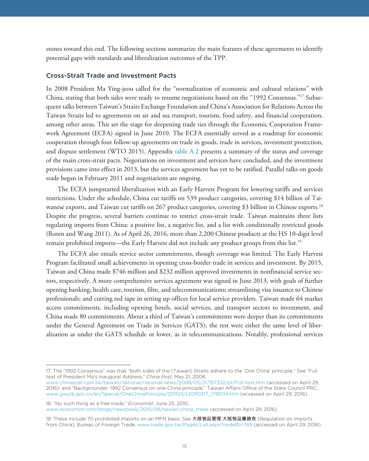stones toward this end. The following sections summarize the main features of these agreements to identify potential gaps with standards and liberalization outcomes of the TPP.

#### Cross-Strait Trade and Investment Pacts

In 2008 President Ma Ying-jeou called for the "normalization of economic and cultural relations" with China, stating that both sides were ready to resume negotiations based on the "1992 Consensus."17 Subsequent talks between Taiwan's Straits Exchange Foundation and China's Association for Relations Across the Taiwan Straits led to agreements on air and sea transport, tourism, food safety, and financial cooperation, among other areas. This set the stage for deepening trade ties through the Economic Cooperation Framework Agreement (ECFA) signed in June 2010. The ECFA essentially served as a roadmap for economic cooperation through four follow-up agreements on trade in goods, trade in services, investment protection, and dispute settlement (WTO 2015). Appendix [table A.2](#page-36-0) presents a summary of the status and coverage of the main cross-strait pacts. Negotiations on investment and services have concluded, and the investment provisions came into effect in 2013, but the services agreement has yet to be ratified. Parallel talks on goods trade began in February 2011 and negotiations are ongoing.

The ECFA jumpstarted liberalization with an Early Harvest Program for lowering tariffs and services restrictions. Under the schedule, China cut tariffs on 539 product categories, covering \$14 billion of Taiwanese exports, and Taiwan cut tariffs on 267 product categories, covering \$3 billion in Chinese exports.18 Despite the progress, several barriers continue to restrict cross-strait trade. Taiwan maintains three lists regulating imports from China: a positive list, a negative list, and a list with conditionally restricted goods (Rosen and Wang 2011). As of April 26, 2016, more than 2,200 Chinese products at the HS 10-digit level remain prohibited imports—the Early Harvest did not include any product groups from this list.19

The ECFA also entails service sector commitments, though coverage was limited. The Early Harvest Program facilitated small achievements in opening cross-border trade in services and investment. By 2015, Taiwan and China made \$746 million and \$232 million approved investments in nonfinancial service sectors, respectively. A more comprehensive services agreement was signed in June 2013, with goals of further opening banking, health care, tourism, film, and telecommunications; streamlining visa issuance to Chinese professionals; and cutting red tape in setting up offices for local service providers. Taiwan made 64 market access commitments, including opening hotels, social services, and transport sectors to investment, and China made 80 commitments. About a third of Taiwan's commitments were deeper than its commitments under the General Agreement on Trade in Services (GATS); the rest were either the same level of liberalization as under the GATS schedule or lower, as in telecommunications. Notably, professional services

18. "No such thing as a free trade," *Economist*, June 25, 2010, www.economist.com/blogs/newsbook/2010/06/taiwan-china\_trade (accessed on April 29, 2016).

<sup>17.</sup> The "1992 Consensus" was that "both sides of the (Taiwan) Straits adhere to the 'One China' principle." See "Full text of President Ma's Inaugural Address," *China Post*, May 21, 2008,

www.chinapost.com.tw/taiwan/national/national-news/2008/05/21/157332/p1/Full-text.htm (accessed on April 29, 2016); and "Backgrounder: 1992 Consensus on one-China principle," Taiwan Affairs Office of the State Council PRC, www.gwytb.gov.cn/en/Special/OneChinaPrinciple/201103/t20110317\_1790114.htm (accessed on April 29, 2016).

<sup>19.</sup> These include 70 prohibited imports on an MFN basis. See 大陸物品管理:大陸物品彙總表 [Regulation on Imports from China], Bureau of Foreign Trade, www.trade.gov.tw/Pages/List.aspx?nodeID=749 (accessed on April 29, 2016).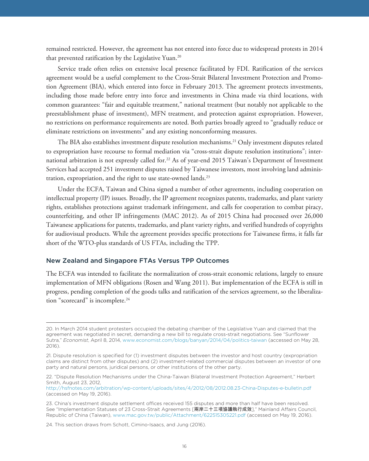remained restricted. However, the agreement has not entered into force due to widespread protests in 2014 that prevented ratification by the Legislative Yuan.<sup>20</sup>

Service trade often relies on extensive local presence facilitated by FDI. Ratification of the services agreement would be a useful complement to the Cross-Strait Bilateral Investment Protection and Promotion Agreement (BIA), which entered into force in February 2013. The agreement protects investments, including those made before entry into force and investments in China made via third locations, with common guarantees: "fair and equitable treatment," national treatment (but notably not applicable to the preestablishment phase of investment), MFN treatment, and protection against expropriation. However, no restrictions on performance requirements are noted. Both parties broadly agreed to "gradually reduce or eliminate restrictions on investments" and any existing nonconforming measures.

The BIA also establishes investment dispute resolution mechanisms.<sup>21</sup> Only investment disputes related to expropriation have recourse to formal mediation via "cross-strait dispute resolution institutions"; international arbitration is not expressly called for.<sup>22</sup> As of year-end 2015 Taiwan's Department of Investment Services had accepted 251 investment disputes raised by Taiwanese investors, most involving land administration, expropriation, and the right to use state-owned lands.<sup>23</sup>

Under the ECFA, Taiwan and China signed a number of other agreements, including cooperation on intellectual property (IP) issues. Broadly, the IP agreement recognizes patents, trademarks, and plant variety rights, establishes protections against trademark infringement, and calls for cooperation to combat piracy, counterfeiting, and other IP infringements (MAC 2012). As of 2015 China had processed over 26,000 Taiwanese applications for patents, trademarks, and plant variety rights, and verified hundreds of copyrights for audiovisual products. While the agreement provides specific protections for Taiwanese firms, it falls far short of the WTO-plus standards of US FTAs, including the TPP.

#### New Zealand and Singapore FTAs Versus TPP Outcomes

The ECFA was intended to facilitate the normalization of cross-strait economic relations, largely to ensure implementation of MFN obligations (Rosen and Wang 2011). But implementation of the ECFA is still in progress, pending completion of the goods talks and ratification of the services agreement, so the liberalization "scorecard" is incomplete.<sup>24</sup>

<sup>20.</sup> In March 2014 student protesters occupied the debating chamber of the Legislative Yuan and claimed that the agreement was negotiated in secret, demanding a new bill to regulate cross-strait negotiations. See "Sunflower Sutra," *Economist*, April 8, 2014, www.economist.com/blogs/banyan/2014/04/politics-taiwan (accessed on May 28, 2016).

<sup>21.</sup> Dispute resolution is specified for (1) investment disputes between the investor and host country (expropriation claims are distinct from other disputes) and (2) investment-related commercial disputes between an investor of one party and natural persons, juridical persons, or other institutions of the other party.

<sup>22. &</sup>quot;Dispute Resolution Mechanisms under the China-Taiwan Bilateral Investment Protection Agreement," Herbert Smith, August 23, 2012,

http://hsfnotes.com/arbitration/wp-content/uploads/sites/4/2012/08/2012.08.23-China-Disputes-e-bulletin.pdf (accessed on May 19, 2016).

<sup>23.</sup> China's investment dispute settlement offices received 155 disputes and more than half have been resolved. See "Implementation Statuses of 23 Cross-Strait Agreements [兩岸二十三項協議執行成效]," Mainland Affairs Council, Republic of China (Taiwan), www.mac.gov.tw/public/Attachment/622515305221.pdf (accessed on May 19, 2016).

<sup>24.</sup> This section draws from Schott, Cimino-Isaacs, and Jung (2016).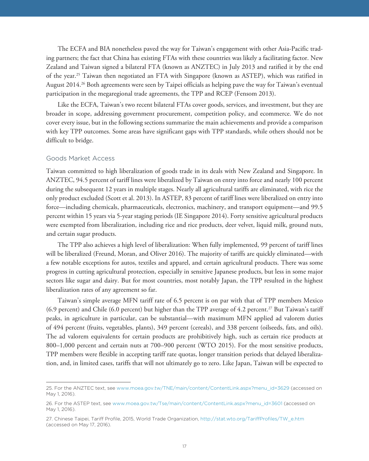The ECFA and BIA nonetheless paved the way for Taiwan's engagement with other Asia-Pacific trading partners; the fact that China has existing FTAs with these countries was likely a facilitating factor. New Zealand and Taiwan signed a bilateral FTA (known as ANZTEC) in July 2013 and ratified it by the end of the year.25 Taiwan then negotiated an FTA with Singapore (known as ASTEP), which was ratified in August 2014.<sup>26</sup> Both agreements were seen by Taipei officials as helping pave the way for Taiwan's eventual participation in the megaregional trade agreements, the TPP and RCEP (Fensom 2013).

Like the ECFA, Taiwan's two recent bilateral FTAs cover goods, services, and investment, but they are broader in scope, addressing government procurement, competition policy, and ecommerce. We do not cover every issue, but in the following sections summarize the main achievements and provide a comparison with key TPP outcomes. Some areas have significant gaps with TPP standards, while others should not be difficult to bridge.

#### Goods Market Access

Taiwan committed to high liberalization of goods trade in its deals with New Zealand and Singapore. In ANZTEC, 94.5 percent of tariff lines were liberalized by Taiwan on entry into force and nearly 100 percent during the subsequent 12 years in multiple stages. Nearly all agricultural tariffs are eliminated, with rice the only product excluded (Scott et al. 2013). In ASTEP, 83 percent of tariff lines were liberalized on entry into force—including chemicals, pharmaceuticals, electronics, machinery, and transport equipment—and 99.5 percent within 15 years via 5-year staging periods (IE Singapore 2014). Forty sensitive agricultural products were exempted from liberalization, including rice and rice products, deer velvet, liquid milk, ground nuts, and certain sugar products.

The TPP also achieves a high level of liberalization: When fully implemented, 99 percent of tariff lines will be liberalized (Freund, Moran, and Oliver 2016). The majority of tariffs are quickly eliminated—with a few notable exceptions for autos, textiles and apparel, and certain agricultural products. There was some progress in cutting agricultural protection, especially in sensitive Japanese products, but less in some major sectors like sugar and dairy. But for most countries, most notably Japan, the TPP resulted in the highest liberalization rates of any agreement so far.

Taiwan's simple average MFN tariff rate of 6.5 percent is on par with that of TPP members Mexico  $(6.9 \text{ percent})$  and Chile  $(6.0 \text{ percent})$  but higher than the TPP average of 4.2 percent.<sup>27</sup> But Taiwan's tariff peaks, in agriculture in particular, can be substantial—with maximum MFN applied ad valorem duties of 494 percent (fruits, vegetables, plants), 349 percent (cereals), and 338 percent (oilseeds, fats, and oils). The ad valorem equivalents for certain products are prohibitively high, such as certain rice products at 800–1,000 percent and certain nuts at 700–900 percent (WTO 2015). For the most sensitive products, TPP members were flexible in accepting tariff rate quotas, longer transition periods that delayed liberalization, and, in limited cases, tariffs that will not ultimately go to zero. Like Japan, Taiwan will be expected to

<sup>25.</sup> For the ANZTEC text, see www.moea.gov.tw/TNE/main/content/ContentLink.aspx?menu\_id=3629 (accessed on May 1, 2016).

<sup>26.</sup> For the ASTEP text, see www.moea.gov.tw/Tse/main/content/ContentLink.aspx?menu\_id=3601 (accessed on May 1, 2016).

<sup>27.</sup> Chinese Taipei, Tariff Profile, 2015, World Trade Organization, http://stat.wto.org/TariffProfiles/TW\_e.htm (accessed on May 17, 2016).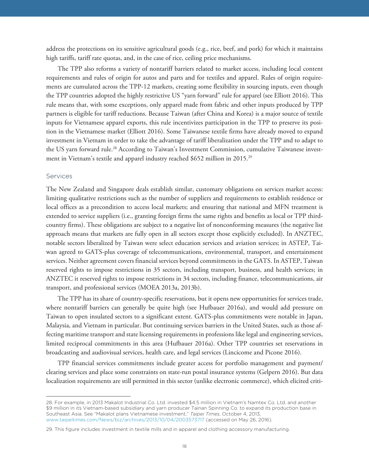address the protections on its sensitive agricultural goods (e.g., rice, beef, and pork) for which it maintains high tariffs, tariff rate quotas, and, in the case of rice, ceiling price mechanisms.

The TPP also reforms a variety of nontariff barriers related to market access, including local content requirements and rules of origin for autos and parts and for textiles and apparel. Rules of origin requirements are cumulated across the TPP-12 markets, creating some flexibility in sourcing inputs, even though the TPP countries adopted the highly restrictive US "yarn forward" rule for apparel (see Elliott 2016). This rule means that, with some exceptions, only apparel made from fabric and other inputs produced by TPP partners is eligible for tariff reductions. Because Taiwan (after China and Korea) is a major source of textile inputs for Vietnamese apparel exports, this rule incentivizes participation in the TPP to preserve its position in the Vietnamese market (Elliott 2016). Some Taiwanese textile firms have already moved to expand investment in Vietnam in order to take the advantage of tariff liberalization under the TPP and to adapt to the US yarn forward rule.<sup>28</sup> According to Taiwan's Investment Commission, cumulative Taiwanese investment in Vietnam's textile and apparel industry reached \$652 million in 2015.29

## Services

The New Zealand and Singapore deals establish similar, customary obligations on services market access: limiting qualitative restrictions such as the number of suppliers and requirements to establish residence or local offices as a precondition to access local markets; and ensuring that national and MFN treatment is extended to service suppliers (i.e., granting foreign firms the same rights and benefits as local or TPP thirdcountry firms). These obligations are subject to a negative list of nonconforming measures (the negative list approach means that markets are fully open in all sectors except those explicitly excluded). In ANZTEC, notable sectors liberalized by Taiwan were select education services and aviation services; in ASTEP, Taiwan agreed to GATS-plus coverage of telecommunications, environmental, transport, and entertainment services. Neither agreement covers financial services beyond commitments in the GATS. In ASTEP, Taiwan reserved rights to impose restrictions in 35 sectors, including transport, business, and health services; in ANZTEC it reserved rights to impose restrictions in 34 sectors, including finance, telecommunications, air transport, and professional services (MOEA 2013a, 2013b).

The TPP has its share of country-specific reservations, but it opens new opportunities for services trade, where nontariff barriers can generally be quite high (see Hufbauer 2016a), and would add pressure on Taiwan to open insulated sectors to a significant extent. GATS-plus commitments were notable in Japan, Malaysia, and Vietnam in particular. But continuing services barriers in the United States, such as those affecting maritime transport and state licensing requirements in professions like legal and engineering services, limited reciprocal commitments in this area (Hufbauer 2016a). Other TPP countries set reservations in broadcasting and audiovisual services, health care, and legal services (Lincicome and Picone 2016).

TPP financial services commitments include greater access for portfolio management and payment/ clearing services and place some constraints on state-run postal insurance systems (Gelpern 2016). But data localization requirements are still permitted in this sector (unlike electronic commerce), which elicited criti-

<sup>28.</sup> For example, in 2013 Makalot Industrial Co. Ltd. invested \$4.5 million in Vietnam's Namtex Co. Ltd. and another \$9 million in its Vietnam-based subsidiary and yarn producer Tainan Spinning Co. to expand its production base in Southeast Asia. See "Makalot plans Vietnamese investment," *Taipei Times*, October 4, 2013, www.taipeitimes.com/News/biz/archives/2013/10/04/2003573717 (accessed on May 26, 2016).

<sup>29.</sup> This figure includes investment in textile mills and in apparel and clothing accessory manufacturing.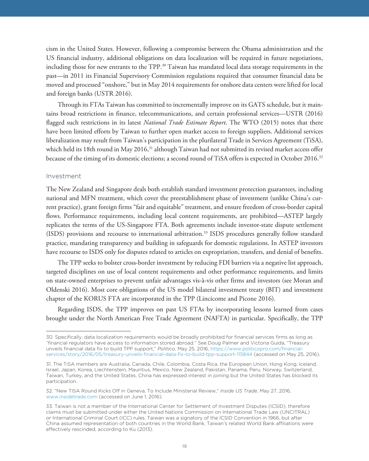cism in the United States. However, following a compromise between the Obama administration and the US financial industry, additional obligations on data localization will be required in future negotiations, including those for new entrants to the  $TPP$ .<sup>30</sup> Taiwan has mandated local data storage requirements in the past—in 2011 its Financial Supervisory Commission regulations required that consumer financial data be moved and processed "onshore," but in May 2014 requirements for onshore data centers were lifted for local and foreign banks (USTR 2016).

Through its FTAs Taiwan has committed to incrementally improve on its GATS schedule, but it maintains broad restrictions in finance, telecommunications, and certain professional services—USTR (2016) flagged such restrictions in its latest *National Trade Estimate Report*. The WTO (2015) notes that there have been limited efforts by Taiwan to further open market access to foreign suppliers. Additional services liberalization may result from Taiwan's participation in the plurilateral Trade in Services Agreement (TiSA), which held its 18th round in May 2016,<sup>31</sup> although Taiwan had not submitted its revised market access offer because of the timing of its domestic elections; a second round of TiSA offers is expected in October 2016.32

#### Investment

The New Zealand and Singapore deals both establish standard investment protection guarantees, including national and MFN treatment, which cover the preestablishment phase of investment (unlike China's current practice), grant foreign firms "fair and equitable" treatment, and ensure freedom of cross-border capital flows. Performance requirements, including local content requirements, are prohibited—ASTEP largely replicates the terms of the US-Singapore FTA. Both agreements include investor-state dispute settlement (ISDS) provisions and recourse to international arbitration.33 ISDS procedures generally follow standard practice, mandating transparency and building in safeguards for domestic regulations. In ASTEP investors have recourse to ISDS only for disputes related to articles on expropriation, transfers, and denial of benefits.

The TPP seeks to bolster cross-border investment by reducing FDI barriers via a negative list approach, targeted disciplines on use of local content requirements and other performance requirements, and limits on state-owned enterprises to prevent unfair advantages vis-à-vis other firms and investors (see Moran and Oldenski 2016). Most core obligations of the US model bilateral investment treaty (BIT) and investment chapter of the KORUS FTA are incorporated in the TPP (Lincicome and Picone 2016).

Regarding ISDS, the TPP improves on past US FTAs by incorporating lessons learned from cases brought under the North American Free Trade Agreement (NAFTA) in particular. Specifically, the TPP

<sup>30.</sup> Specifically, data localization requirements would be broadly prohibited for financial services firms as long as "financial regulators have access to information stored abroad." See Doug Palmer and Victoria Guida, "Treasury unveils financial data fix to build TPP support," *Politico,* May 25, 2016, https://www.politicopro.com/financial[services/story/2016/05/treasury-unveils-financial-data-fix-to-build-tpp-support-115844 \(accessed on May 25,](https://www.politicopro.com/financial-services/story/2016/05/treasury-unveils-financial-data-fix-to-build-tpp-support-115844) 2016).

<sup>31.</sup> The TiSA members are Australia, Canada, Chile, Colombia, Costa Rica, the European Union, Hong Kong, Iceland, Israel, Japan, Korea, Liechtenstein, Mauritius, Mexico, New Zealand, Pakistan, Panama, Peru, Norway, Switzerland, Taiwan, Turkey, and the United States. China has expressed interest in joining but the United States has blocked its participation.

<sup>32. &</sup>quot;New TISA Round Kicks Off in Geneva, To Include Ministerial Review," *Inside US Trade*, May 27, 2016, www.insidetrade.com (accessed on June 1, 2016).

<sup>33.</sup> Taiwan is not a member of the International Center for Settlement of Investment Disputes (ICSID), therefore claims must be submitted under either the United Nations Commission on International Trade Law (UNCITRAL) or International Criminal Court (ICC) rules. Taiwan was a signatory of the ICSID Convention in 1966, but after China assumed representation of both countries in the World Bank, Taiwan's related World Bank affiliations were effectively rescinded, according to Ku (2013).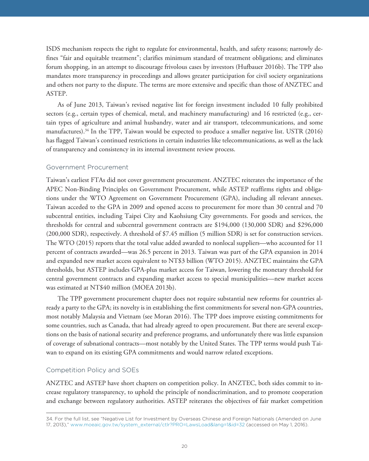ISDS mechanism respects the right to regulate for environmental, health, and safety reasons; narrowly defines "fair and equitable treatment"; clarifies minimum standard of treatment obligations; and eliminates forum shopping, in an attempt to discourage frivolous cases by investors (Hufbauer 2016b). The TPP also mandates more transparency in proceedings and allows greater participation for civil society organizations and others not party to the dispute. The terms are more extensive and specific than those of ANZTEC and ASTEP.

As of June 2013, Taiwan's revised negative list for foreign investment included 10 fully prohibited sectors (e.g., certain types of chemical, metal, and machinery manufacturing) and 16 restricted (e.g., certain types of agriculture and animal husbandry, water and air transport, telecommunications, and some manufactures).<sup>34</sup> In the TPP, Taiwan would be expected to produce a smaller negative list. USTR (2016) has flagged Taiwan's continued restrictions in certain industries like telecommunications, as well as the lack of transparency and consistency in its internal investment review process.

#### Government Procurement

Taiwan's earliest FTAs did not cover government procurement. ANZTEC reiterates the importance of the APEC Non-Binding Principles on Government Procurement, while ASTEP reaffirms rights and obligations under the WTO Agreement on Government Procurement (GPA), including all relevant annexes. Taiwan acceded to the GPA in 2009 and opened access to procurement for more than 30 central and 70 subcentral entities, including Taipei City and Kaohsiung City governments. For goods and services, the thresholds for central and subcentral government contracts are \$194,000 (130,000 SDR) and \$296,000 (200,000 SDR), respectively. A threshold of \$7.45 million (5 million SDR) is set for construction services. The WTO (2015) reports that the total value added awarded to nonlocal suppliers—who accounted for 11 percent of contracts awarded—was 26.5 percent in 2013. Taiwan was part of the GPA expansion in 2014 and expanded new market access equivalent to NT\$3 billion (WTO 2015). ANZTEC maintains the GPA thresholds, but ASTEP includes GPA-plus market access for Taiwan, lowering the monetary threshold for central government contracts and expanding market access to special municipalities—new market access was estimated at NT\$40 million (MOEA 2013b).

The TPP government procurement chapter does not require substantial new reforms for countries already a party to the GPA; its novelty is in establishing the first commitments for several non-GPA countries, most notably Malaysia and Vietnam (see Moran 2016). The TPP does improve existing commitments for some countries, such as Canada, that had already agreed to open procurement. But there are several exceptions on the basis of national security and preference programs, and unfortunately there was little expansion of coverage of subnational contracts—most notably by the United States. The TPP terms would push Taiwan to expand on its existing GPA commitments and would narrow related exceptions.

#### Competition Policy and SOEs

ANZTEC and ASTEP have short chapters on competition policy. In ANZTEC, both sides commit to increase regulatory transparency, to uphold the principle of nondiscrimination, and to promote cooperation and exchange between regulatory authorities. ASTEP reiterates the objectives of fair market competition

<sup>34.</sup> For the full list, see "Negative List for Investment by Overseas Chinese and Foreign Nationals (Amended on June 17, 2013)," www.moeaic.gov.tw/system\_external/ctlr?PRO=LawsLoad&lang=1&id=32 (accessed on May 1, 2016).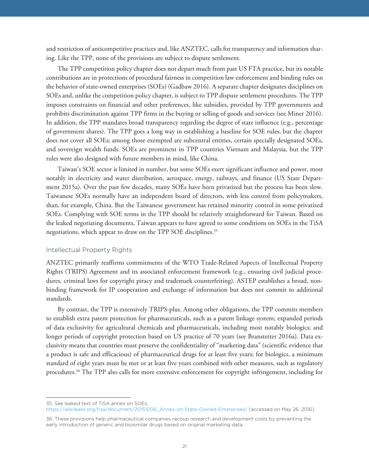and restriction of anticompetitive practices and, like ANZTEC, calls for transparency and information sharing. Like the TPP, none of the provisions are subject to dispute settlement.

The TPP competition policy chapter does not depart much from past US FTA practice, but its notable contributions are in protections of procedural fairness in competition law enforcement and binding rules on the behavior of state-owned enterprises (SOEs) (Gadbaw 2016). A separate chapter designates disciplines on SOEs and, unlike the competition policy chapter, is subject to TPP dispute settlement procedures. The TPP imposes constraints on financial and other preferences, like subsidies, provided by TPP governments and prohibits discrimination against TPP firms in the buying or selling of goods and services (see Miner 2016). In addition, the TPP mandates broad transparency regarding the degree of state influence (e.g., percentage of government shares). The TPP goes a long way in establishing a baseline for SOE rules, but the chapter does not cover all SOEs; among those exempted are subcentral entities, certain specially designated SOEs, and sovereign wealth funds. SOEs are prominent in TPP countries Vietnam and Malaysia, but the TPP rules were also designed with future members in mind, like China.

Taiwan's SOE sector is limited in number, but some SOEs exert significant influence and power, most notably in electricity and water distribution, aerospace, energy, railways, and finance (US State Department 2015a). Over the past few decades, many SOEs have been privatized but the process has been slow. Taiwanese SOEs normally have an independent board of directors, with less control from policymakers, than, for example, China. But the Taiwanese government has retained minority control in some privatized SOEs. Complying with SOE terms in the TPP should be relatively straightforward for Taiwan. Based on the leaked negotiating documents, Taiwan appears to have agreed to some conditions on SOEs in the TiSA negotiations, which appear to draw on the TPP SOE disciplines.<sup>35</sup>

#### Intellectual Property Rights

ANZTEC primarily reaffirms commitments of the WTO Trade-Related Aspects of Intellectual Property Rights (TRIPS) Agreement and its associated enforcement framework (e.g., ensuring civil judicial procedures, criminal laws for copyright piracy and trademark counterfeiting). ASTEP establishes a broad, nonbinding framework for IP cooperation and exchange of information but does not commit to additional standards.

By contrast, the TPP is extensively TRIPS-plus. Among other obligations, the TPP commits members to establish extra patent protection for pharmaceuticals, such as a patent linkage system; expanded periods of data exclusivity for agricultural chemicals and pharmaceuticals, including most notably biologics; and longer periods of copyright protection based on US practice of 70 years (see Branstetter 2016a). Data exclusivity means that countries must preserve the confidentiality of "marketing data" (scientific evidence that a product is safe and efficacious) of pharmaceutical drugs for at least five years; for biologics, a minimum standard of eight years must be met or at least five years combined with other measures, such as regulatory procedures.36 The TPP also calls for more extensive enforcement for copyright infringement, including for

<sup>35.</sup> See leaked text of TiSA annex on SOEs, https://wikileaks.org/tisa/document/20151006\_Annex-on-State-Owned-Enterprises/ (accessed on May 26, 2016).

<sup>36.</sup> These provisions help pharmaceutical companies recoup research and development costs by preventing the early introduction of generic and biosimilar drugs based on original marketing data.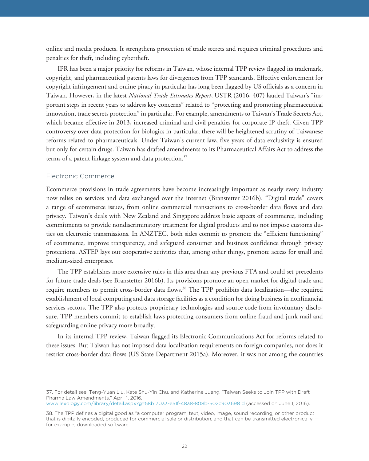online and media products. It strengthens protection of trade secrets and requires criminal procedures and penalties for theft, including cybertheft.

IPR has been a major priority for reforms in Taiwan, whose internal TPP review flagged its trademark, copyright, and pharmaceutical patents laws for divergences from TPP standards. Effective enforcement for copyright infringement and online piracy in particular has long been flagged by US officials as a concern in Taiwan. However, in the latest *National Trade Estimates Report*, USTR (2016, 407) lauded Taiwan's "important steps in recent years to address key concerns" related to "protecting and promoting pharmaceutical innovation, trade secrets protection" in particular. For example, amendments to Taiwan's Trade Secrets Act, which became effective in 2013, increased criminal and civil penalties for corporate IP theft. Given TPP controversy over data protection for biologics in particular, there will be heightened scrutiny of Taiwanese reforms related to pharmaceuticals. Under Taiwan's current law, five years of data exclusivity is ensured but only for certain drugs. Taiwan has drafted amendments to its Pharmaceutical Affairs Act to address the terms of a patent linkage system and data protection.<sup>37</sup>

#### Electronic Commerce

Ecommerce provisions in trade agreements have become increasingly important as nearly every industry now relies on services and data exchanged over the internet (Branstetter 2016b). "Digital trade" covers a range of ecommerce issues, from online commercial transactions to cross-border data flows and data privacy. Taiwan's deals with New Zealand and Singapore address basic aspects of ecommerce, including commitments to provide nondiscriminatory treatment for digital products and to not impose customs duties on electronic transmissions. In ANZTEC, both sides commit to promote the "efficient functioning" of ecommerce, improve transparency, and safeguard consumer and business confidence through privacy protections. ASTEP lays out cooperative activities that, among other things, promote access for small and medium-sized enterprises.

The TPP establishes more extensive rules in this area than any previous FTA and could set precedents for future trade deals (see Branstetter 2016b). Its provisions promote an open market for digital trade and require members to permit cross-border data flows.38 The TPP prohibits data localization—the required establishment of local computing and data storage facilities as a condition for doing business in nonfinancial services sectors. The TPP also protects proprietary technologies and source code from involuntary disclosure. TPP members commit to establish laws protecting consumers from online fraud and junk mail and safeguarding online privacy more broadly.

In its internal TPP review, Taiwan flagged its Electronic Communications Act for reforms related to these issues. But Taiwan has not imposed data localization requirements on foreign companies, nor does it restrict cross-border data flows (US State Department 2015a). Moreover, it was not among the countries

<sup>37.</sup> For detail see, Teng-Yuan Liu, Kate Shu-Yin Chu, and Katherine Juang, "Taiwan Seeks to Join TPP with Draft Pharma Law Amendments," April 1, 2016,

www.lexology.com/library/detail.aspx?g=58b17033-e51f-4838-808b-502c9036981d (accessed on June 1, 2016).

<sup>38.</sup> The TPP defines a digital good as "a computer program, text, video, image, sound recording, or other product that is digitally encoded, produced for commercial sale or distribution, and that can be transmitted electronically" for example, downloaded software.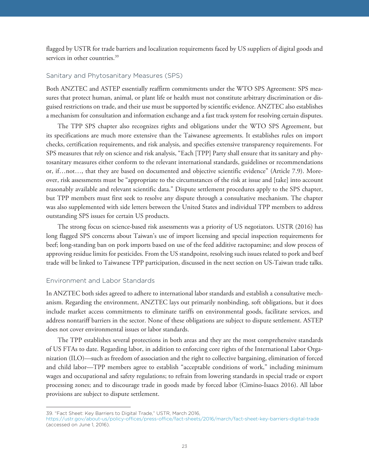flagged by USTR for trade barriers and localization requirements faced by US suppliers of digital goods and services in other countries.<sup>39</sup>

#### Sanitary and Phytosanitary Measures (SPS)

Both ANZTEC and ASTEP essentially reaffirm commitments under the WTO SPS Agreement: SPS measures that protect human, animal, or plant life or health must not constitute arbitrary discrimination or disguised restrictions on trade, and their use must be supported by scientific evidence. ANZTEC also establishes a mechanism for consultation and information exchange and a fast track system for resolving certain disputes.

The TPP SPS chapter also recognizes rights and obligations under the WTO SPS Agreement, but its specifications are much more extensive than the Taiwanese agreements. It establishes rules on import checks, certification requirements, and risk analysis, and specifies extensive transparency requirements. For SPS measures that rely on science and risk analysis, "Each [TPP] Party shall ensure that its sanitary and phytosanitary measures either conform to the relevant international standards, guidelines or recommendations or, if…not…, that they are based on documented and objective scientific evidence" (Article 7.9). Moreover, risk assessments must be "appropriate to the circumstances of the risk at issue and [take] into account reasonably available and relevant scientific data." Dispute settlement procedures apply to the SPS chapter, but TPP members must first seek to resolve any dispute through a consultative mechanism. The chapter was also supplemented with side letters between the United States and individual TPP members to address outstanding SPS issues for certain US products.

The strong focus on science-based risk assessments was a priority of US negotiators. USTR (2016) has long flagged SPS concerns about Taiwan's use of import licensing and special inspection requirements for beef; long-standing ban on pork imports based on use of the feed additive ractopamine; and slow process of approving residue limits for pesticides. From the US standpoint, resolving such issues related to pork and beef trade will be linked to Taiwanese TPP participation, discussed in the next section on US-Taiwan trade talks.

#### Environment and Labor Standards

In ANZTEC both sides agreed to adhere to international labor standards and establish a consultative mechanism. Regarding the environment, ANZTEC lays out primarily nonbinding, soft obligations, but it does include market access commitments to eliminate tariffs on environmental goods, facilitate services, and address nontariff barriers in the sector. None of these obligations are subject to dispute settlement. ASTEP does not cover environmental issues or labor standards.

The TPP establishes several protections in both areas and they are the most comprehensive standards of US FTAs to date. Regarding labor, in addition to enforcing core rights of the International Labor Organization (ILO)—such as freedom of association and the right to collective bargaining, elimination of forced and child labor—TPP members agree to establish "acceptable conditions of work," including minimum wages and occupational and safety regulations; to refrain from lowering standards in special trade or export processing zones; and to discourage trade in goods made by forced labor (Cimino-Isaacs 2016). All labor provisions are subject to dispute settlement.

<sup>39. &</sup>quot;Fact Sheet: Key Barriers to Digital Trade," USTR, March 2016,

https://ustr.gov/about-us/policy-offices/press-office/fact-sheets/2016/march/fact-sheet-key-barriers-digital-trade (accessed on June 1, 2016).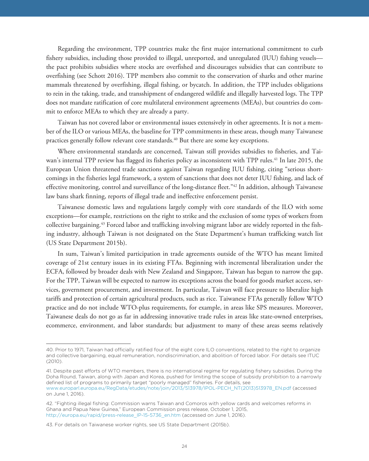Regarding the environment, TPP countries make the first major international commitment to curb fishery subsidies, including those provided to illegal, unreported, and unregulated (IUU) fishing vessels the pact prohibits subsidies where stocks are overfished and discourages subsidies that can contribute to overfishing (see Schott 2016). TPP members also commit to the conservation of sharks and other marine mammals threatened by overfishing, illegal fishing, or bycatch. In addition, the TPP includes obligations to rein in the taking, trade, and transshipment of endangered wildlife and illegally harvested logs. The TPP does not mandate ratification of core multilateral environment agreements (MEAs), but countries do commit to enforce MEAs to which they are already a party.

Taiwan has not covered labor or environmental issues extensively in other agreements. It is not a member of the ILO or various MEAs, the baseline for TPP commitments in these areas, though many Taiwanese practices generally follow relevant core standards.<sup>40</sup> But there are some key exceptions.

Where environmental standards are concerned, Taiwan still provides subsidies to fisheries, and Taiwan's internal TPP review has flagged its fisheries policy as inconsistent with TPP rules.<sup>41</sup> In late 2015, the European Union threatened trade sanctions against Taiwan regarding IUU fishing, citing "serious shortcomings in the fisheries legal framework, a system of sanctions that does not deter IUU fishing, and lack of effective monitoring, control and surveillance of the long-distance fleet."42 In addition, although Taiwanese law bans shark finning, reports of illegal trade and ineffective enforcement persist.

Taiwanese domestic laws and regulations largely comply with core standards of the ILO with some exceptions—for example, restrictions on the right to strike and the exclusion of some types of workers from collective bargaining.43 Forced labor and trafficking involving migrant labor are widely reported in the fishing industry, although Taiwan is not designated on the State Department's human trafficking watch list (US State Department 2015b).

In sum, Taiwan's limited participation in trade agreements outside of the WTO has meant limited coverage of 21st century issues in its existing FTAs. Beginning with incremental liberalization under the ECFA, followed by broader deals with New Zealand and Singapore, Taiwan has begun to narrow the gap. For the TPP, Taiwan will be expected to narrow its exceptions across the board for goods market access, services, government procurement, and investment. In particular, Taiwan will face pressure to liberalize high tariffs and protection of certain agricultural products, such as rice. Taiwanese FTAs generally follow WTO practice and do not include WTO-plus requirements, for example, in areas like SPS measures. Moreover, Taiwanese deals do not go as far in addressing innovative trade rules in areas like state-owned enterprises, ecommerce, environment, and labor standards; but adjustment to many of these areas seems relatively

<sup>40.</sup> Prior to 1971, Taiwan had officially ratified four of the eight core ILO conventions, related to the right to organize and collective bargaining, equal remuneration, nondiscrimination, and abolition of forced labor. For details see ITUC (2010).

<sup>41.</sup> Despite past efforts of WTO members, there is no international regime for regulating fishery subsidies. During the Doha Round, Taiwan, along with Japan and Korea, pushed for limiting the scope of subsidy prohibition to a narrowly defined list of programs to primarily target "poorly managed" fisheries. For details, see www.europarl.europa.eu/RegData/etudes/note/join/2013/513978/IPOL-PECH\_NT(2013)513978\_EN.pdf (accessed on June 1, 2016).

<sup>42. &</sup>quot;Fighting illegal fishing: Commission warns Taiwan and Comoros with yellow cards and welcomes reforms in Ghana and Papua New Guinea," European Commission press release, October 1, 2015, http://europa.eu/rapid/press-release\_IP-15-5736\_en.htm (accessed on June 1, 2016).

<sup>43.</sup> For details on Taiwanese worker rights, see US State Department (2015b).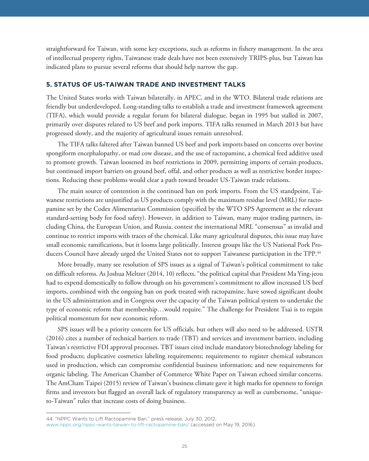straightforward for Taiwan, with some key exceptions, such as reforms in fishery management. In the area of intellectual property rights, Taiwanese trade deals have not been extensively TRIPS-plus, but Taiwan has indicated plans to pursue several reforms that should help narrow the gap.

The United States works with Taiwan bilaterally, in APEC, and in the WTO. Bilateral trade relations are friendly but underdeveloped. Long-standing talks to establish a trade and investment framework agreement (TIFA), which would provide a regular forum for bilateral dialogue, began in 1995 but stalled in 2007, primarily over disputes related to US beef and pork imports. TIFA talks resumed in March 2013 but have progressed slowly, and the majority of agricultural issues remain unresolved.

The TIFA talks faltered after Taiwan banned US beef and pork imports based on concerns over bovine spongiform encephalopathy, or mad cow disease, and the use of ractopamine, a chemical feed additive used to promote growth. Taiwan loosened its beef restrictions in 2009, permitting imports of certain products, but continued import barriers on ground beef, offal, and other products as well as restrictive border inspections. Reducing these problems would clear a path toward broader US-Taiwan trade relations.

The main source of contention is the continued ban on pork imports. From the US standpoint, Taiwanese restrictions are unjustified as US products comply with the maximum residue level (MRL) for ractopamine set by the Codex Alimentarius Commission (specified by the WTO SPS Agreement as the relevant standard-setting body for food safety). However, in addition to Taiwan, many major trading partners, including China, the European Union, and Russia, contest the international MRL "consensus" as invalid and continue to restrict imports with traces of the chemical. Like many agricultural disputes, this issue may have small economic ramifications, but it looms large politically. Interest groups like the US National Pork Producers Council have already urged the United States not to support Taiwanese participation in the TPP.<sup>44</sup>

More broadly, many see resolution of SPS issues as a signal of Taiwan's political commitment to take on difficult reforms. As Joshua Meltzer (2014, 10) reflects, "the political capital that President Ma Ying-jeou had to expend domestically to follow through on his government's commitment to allow increased US beef imports, combined with the ongoing ban on pork treated with ractopamine, have sowed significant doubt in the US administration and in Congress over the capacity of the Taiwan political system to undertake the type of economic reform that membership…would require." The challenge for President Tsai is to regain political momentum for new economic reform.

SPS issues will be a priority concern for US officials, but others will also need to be addressed. USTR (2016) cites a number of technical barriers to trade (TBT) and services and investment barriers, including Taiwan's restrictive FDI approval processes. TBT issues cited include mandatory biotechnology labeling for food products; duplicative cosmetics labeling requirements; requirements to register chemical substances used in production, which can compromise confidential business information; and new requirements for organic labeling. The American Chamber of Commerce White Paper on Taiwan echoed similar concerns. The AmCham Taipei (2015) review of Taiwan's business climate gave it high marks for openness to foreign firms and investors but flagged an overall lack of regulatory transparency as well as cumbersome, "uniqueto-Taiwan" rules that increase costs of doing business.

<sup>44. &</sup>quot;NPPC Wants to Lift Ractopamine Ban," press release, July 30, 2012, www.nppc.org/nppc-wants-taiwan-to-lift-ractopamine-ban/ (accessed on May 19, 2016).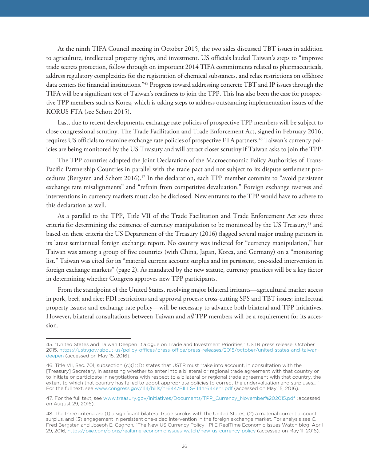At the ninth TIFA Council meeting in October 2015, the two sides discussed TBT issues in addition to agriculture, intellectual property rights, and investment. US officials lauded Taiwan's steps to "improve trade secrets protection, follow through on important 2014 TIFA commitments related to pharmaceuticals, address regulatory complexities for the registration of chemical substances, and relax restrictions on offshore data centers for financial institutions."45 Progress toward addressing concrete TBT and IP issues through the TIFA will be a significant test of Taiwan's readiness to join the TPP. This has also been the case for prospective TPP members such as Korea, which is taking steps to address outstanding implementation issues of the KORUS FTA (see Schott 2015).

Last, due to recent developments, exchange rate policies of prospective TPP members will be subject to close congressional scrutiny. The Trade Facilitation and Trade Enforcement Act, signed in February 2016, requires US officials to examine exchange rate policies of prospective FTA partners.46 Taiwan's currency policies are being monitored by the US Treasury and will attract closer scrutiny if Taiwan asks to join the TPP.

The TPP countries adopted the Joint Declaration of the Macroeconomic Policy Authorities of Trans-Pacific Partnership Countries in parallel with the trade pact and not subject to its dispute settlement procedures (Bergsten and Schott 2016).47 In the declaration, each TPP member commits to "avoid persistent exchange rate misalignments" and "refrain from competitive devaluation." Foreign exchange reserves and interventions in currency markets must also be disclosed. New entrants to the TPP would have to adhere to this declaration as well.

As a parallel to the TPP, Title VII of the Trade Facilitation and Trade Enforcement Act sets three criteria for determining the existence of currency manipulation to be monitored by the US Treasury,<sup>48</sup> and based on these criteria the US Department of the Treasury (2016) flagged several major trading partners in its latest semiannual foreign exchange report. No country was indicted for "currency manipulation," but Taiwan was among a group of five countries (with China, Japan, Korea, and Germany) on a "monitoring list." Taiwan was cited for its "material current account surplus and its persistent, one-sided intervention in foreign exchange markets" (page 2). As mandated by the new statute, currency practices will be a key factor in determining whether Congress approves new TPP participants.

From the standpoint of the United States, resolving major bilateral irritants—agricultural market access in pork, beef, and rice; FDI restrictions and approval process; cross-cutting SPS and TBT issues; intellectual property issues; and exchange rate policy—will be necessary to advance both bilateral and TPP initiatives. However, bilateral consultations between Taiwan and *all* TPP members will be a requirement for its accession.

<sup>45. &</sup>quot;United States and Taiwan Deepen Dialogue on Trade and Investment Priorities," USTR press release, October [2015, https://ustr.gov/about-us/policy-offices/press-office/press-releases/2015/october/united-states-and-taiwan](https://ustr.gov/about-us/policy-offices/press-office/press-releases/2015/october/united-states-and-taiwan-deepen)deepen (accessed on May 15, 2016).

<sup>46.</sup> Title VII, Sec. 701, subsection (c)(1)(D) states that USTR must "take into account, in consultation with the [Treasury] Secretary, in assessing whether to enter into a bilateral or regional trade agreement with that country or to initiate or participate in negotiations with respect to a bilateral or regional trade agreement with that country, the extent to which that country has failed to adopt appropriate policies to correct the undervaluation and surpluses…." For the full text, see www.congress.gov/114/bills/hr644/BILLS-114hr644enr.pdf (accessed on May 15, 2016).

<sup>47.</sup> For the full text, see www.treasury.gov/initiatives/Documents/TPP\_Currency\_November%202015.pdf (accessed on August 29, 2016).

<sup>48.</sup> The three criteria are (1) a significant bilateral trade surplus with the United States, (2) a material current account surplus, and (3) engagement in persistent one-sided intervention in the foreign exchange market. For analysis see C. Fred Bergsten and Joseph E. Gagnon, "The New US Currency Policy," PIIE RealTime Economic Issues Watch blog, April 29, 2016, https://piie.com/blogs/realtime-economic-issues-watch/new-us-currency-policy (accessed on May 11, 2016).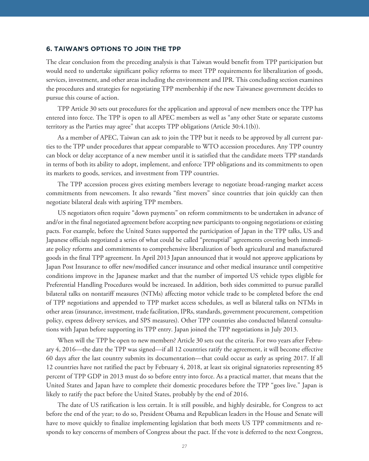The clear conclusion from the preceding analysis is that Taiwan would benefit from TPP participation but would need to undertake significant policy reforms to meet TPP requirements for liberalization of goods, services, investment, and other areas including the environment and IPR. This concluding section examines the procedures and strategies for negotiating TPP membership if the new Taiwanese government decides to pursue this course of action.

TPP Article 30 sets out procedures for the application and approval of new members once the TPP has entered into force. The TPP is open to all APEC members as well as "any other State or separate customs territory as the Parties may agree" that accepts TPP obligations (Article 30:4.1(b)).

As a member of APEC, Taiwan can ask to join the TPP but it needs to be approved by all current parties to the TPP under procedures that appear comparable to WTO accession procedures. Any TPP country can block or delay acceptance of a new member until it is satisfied that the candidate meets TPP standards in terms of both its ability to adopt, implement, and enforce TPP obligations and its commitments to open its markets to goods, services, and investment from TPP countries.

The TPP accession process gives existing members leverage to negotiate broad-ranging market access commitments from newcomers. It also rewards "first movers" since countries that join quickly can then negotiate bilateral deals with aspiring TPP members.

US negotiators often require "down payments" on reform commitments to be undertaken in advance of and/or in the final negotiated agreement before accepting new participants to ongoing negotiations or existing pacts. For example, before the United States supported the participation of Japan in the TPP talks, US and Japanese officials negotiated a series of what could be called "prenuptial" agreements covering both immediate policy reforms and commitments to comprehensive liberalization of both agricultural and manufactured goods in the final TPP agreement. In April 2013 Japan announced that it would not approve applications by Japan Post Insurance to offer new/modified cancer insurance and other medical insurance until competitive conditions improve in the Japanese market and that the number of imported US vehicle types eligible for Preferential Handling Procedures would be increased. In addition, both sides committed to pursue parallel bilateral talks on nontariff measures (NTMs) affecting motor vehicle trade to be completed before the end of TPP negotiations and appended to TPP market access schedules, as well as bilateral talks on NTMs in other areas (insurance, investment, trade facilitation, IPRs, standards, government procurement, competition policy, express delivery services, and SPS measures). Other TPP countries also conducted bilateral consultations with Japan before supporting its TPP entry. Japan joined the TPP negotiations in July 2013.

When will the TPP be open to new members? Article 30 sets out the criteria. For two years after February 4, 2016—the date the TPP was signed—if all 12 countries ratify the agreement, it will become effective 60 days after the last country submits its documentation—that could occur as early as spring 2017. If all 12 countries have not ratified the pact by February 4, 2018, at least six original signatories representing 85 percent of TPP GDP in 2013 must do so before entry into force. As a practical matter, that means that the United States and Japan have to complete their domestic procedures before the TPP "goes live." Japan is likely to ratify the pact before the United States, probably by the end of 2016.

The date of US ratification is less certain. It is still possible, and highly desirable, for Congress to act before the end of the year; to do so, President Obama and Republican leaders in the House and Senate will have to move quickly to finalize implementing legislation that both meets US TPP commitments and responds to key concerns of members of Congress about the pact. If the vote is deferred to the next Congress,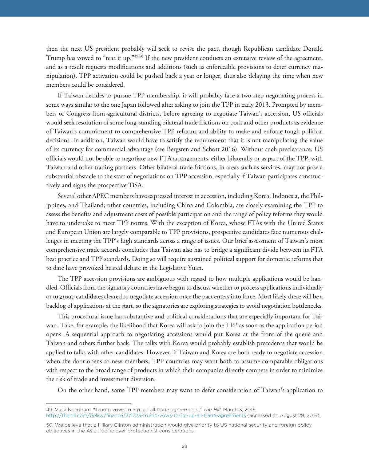then the next US president probably will seek to revise the pact, though Republican candidate Donald Trump has vowed to "tear it up."49,50 If the new president conducts an extensive review of the agreement, and as a result requests modifications and additions (such as enforceable provisions to deter currency manipulation), TPP activation could be pushed back a year or longer, thus also delaying the time when new members could be considered.

If Taiwan decides to pursue TPP membership, it will probably face a two-step negotiating process in some ways similar to the one Japan followed after asking to join the TPP in early 2013. Prompted by members of Congress from agricultural districts, before agreeing to negotiate Taiwan's accession, US officials would seek resolution of some long-standing bilateral trade frictions on pork and other products as evidence of Taiwan's commitment to comprehensive TPP reforms and ability to make and enforce tough political decisions. In addition, Taiwan would have to satisfy the requirement that it is not manipulating the value of its currency for commercial advantage (see Bergsten and Schott 2016). Without such preclearance, US officials would not be able to negotiate new FTA arrangements, either bilaterally or as part of the TPP, with Taiwan and other trading partners. Other bilateral trade frictions, in areas such as services, may not pose a substantial obstacle to the start of negotiations on TPP accession, especially if Taiwan participates constructively and signs the prospective TiSA.

Several other APEC members have expressed interest in accession, including Korea, Indonesia, the Philippines, and Thailand; other countries, including China and Colombia, are closely examining the TPP to assess the benefits and adjustment costs of possible participation and the range of policy reforms they would have to undertake to meet TPP norms. With the exception of Korea, whose FTAs with the United States and European Union are largely comparable to TPP provisions, prospective candidates face numerous challenges in meeting the TPP's high standards across a range of issues. Our brief assessment of Taiwan's most comprehensive trade accords concludes that Taiwan also has to bridge a significant divide between its FTA best practice and TPP standards. Doing so will require sustained political support for domestic reforms that to date have provoked heated debate in the Legislative Yuan.

The TPP accession provisions are ambiguous with regard to how multiple applications would be handled. Officials from the signatory countries have begun to discuss whether to process applications individually or to group candidates cleared to negotiate accession once the pact enters into force. Most likely there will be a backlog of applications at the start, so the signatories are exploring strategies to avoid negotiation bottlenecks.

This procedural issue has substantive and political considerations that are especially important for Taiwan. Take, for example, the likelihood that Korea will ask to join the TPP as soon as the application period opens. A sequential approach to negotiating accessions would put Korea at the front of the queue and Taiwan and others further back. The talks with Korea would probably establish precedents that would be applied to talks with other candidates. However, if Taiwan and Korea are both ready to negotiate accession when the door opens to new members, TPP countries may want both to assume comparable obligations with respect to the broad range of products in which their companies directly compete in order to minimize the risk of trade and investment diversion.

On the other hand, some TPP members may want to defer consideration of Taiwan's application to

<sup>49.</sup> Vicki Needham, "Trump vows to 'rip up' all trade agreements," *The Hill*, March 3, 2016, http://thehill.com/policy/finance/271723-trump-vows-to-rip-up-all-trade-agreements (accessed on August 29, 2016).

<sup>50.</sup> We believe that a Hillary Clinton administration would give priority to US national security and foreign policy objectives in the Asia-Pacific over protectionist considerations.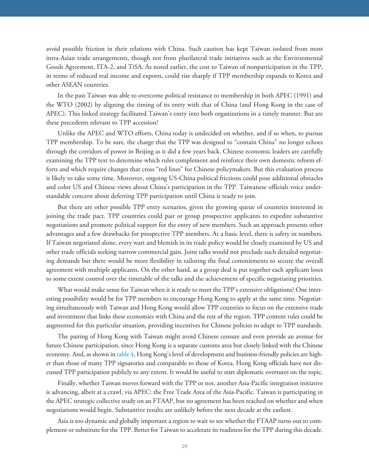avoid possible friction in their relations with China. Such caution has kept Taiwan isolated from most intra-Asian trade arrangements, though not from plurilateral trade initiatives such as the Environmental Goods Agreement, ITA-2, and TiSA. As noted earlier, the cost to Taiwan of nonparticipation in the TPP, in terms of reduced real income and exports, could rise sharply if TPP membership expands to Korea and other ASEAN countries.

In the past Taiwan was able to overcome political resistance to membership in both APEC (1991) and the WTO (2002) by aligning the timing of its entry with that of China (and Hong Kong in the case of APEC). This linked strategy facilitated Taiwan's entry into both organizations in a timely manner. But are these precedents relevant to TPP accession?

Unlike the APEC and WTO efforts, China today is undecided on whether, and if so when, to pursue TPP membership. To be sure, the charge that the TPP was designed to "contain China" no longer echoes through the corridors of power in Beijing as it did a few years back. Chinese economic leaders are carefully examining the TPP text to determine which rules complement and reinforce their own domestic reform efforts and which require changes that cross "red lines" for Chinese policymakers. But this evaluation process is likely to take some time. Moreover, ongoing US-China political frictions could pose additional obstacles and color US and Chinese views about China's participation in the TPP. Taiwanese officials voice understandable concern about deferring TPP participation until China is ready to join.

But there are other possible TPP entry scenarios, given the growing queue of countries interested in joining the trade pact. TPP countries could pair or group prospective applicants to expedite substantive negotiations and promote political support for the entry of new members. Such an approach presents other advantages and a few drawbacks for prospective TPP members. At a basic level, there is safety in numbers. If Taiwan negotiated alone, every wart and blemish in its trade policy would be closely examined by US and other trade officials seeking narrow commercial gain. Joint talks would not preclude such detailed negotiating demands but there would be more flexibility in tailoring the final commitments to secure the overall agreement with multiple applicants. On the other hand, as a group deal is put together each applicant loses to some extent control over the timetable of the talks and the achievement of specific negotiating priorities.

What would make sense for Taiwan when it is ready to meet the TPP's extensive obligations? One interesting possibility would be for TPP members to encourage Hong Kong to apply at the same time. Negotiating simultaneously with Taiwan and Hong Kong would allow TPP countries to focus on the extensive trade and investment that links these economies with China and the rest of the region. TPP content rules could be augmented for this particular situation, providing incentives for Chinese policies to adapt to TPP standards.

The pairing of Hong Kong with Taiwan might avoid Chinese censure and even provide an avenue for future Chinese participation, since Hong Kong is a separate customs area but closely linked with the Chinese economy. And, as shown in [table 4,](#page-8-0) Hong Kong's level of development and business-friendly policies are higher than those of many TPP signatories and comparable to those of Korea. Hong Kong officials have not discussed TPP participation publicly to any extent. It would be useful to start diplomatic overtures on the topic.

Finally, whether Taiwan moves forward with the TPP or not, another Asia-Pacific integration initiative is advancing, albeit at a crawl, via APEC: the Free Trade Area of the Asia-Pacific. Taiwan is participating in the APEC strategic collective study on an FTAAP, but no agreement has been reached on whether and when negotiations would begin. Substantive results are unlikely before the next decade at the earliest.

Asia is too dynamic and globally important a region to wait to see whether the FTAAP turns out to complement or substitute for the TPP. Better for Taiwan to accelerate its readiness for the TPP during this decade.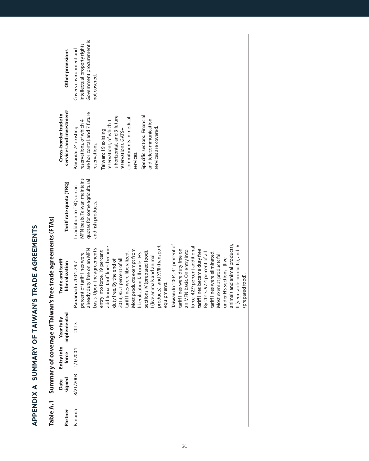<span id="page-29-0"></span>

| Table A.1 |                    | Summary of coverage of |                           | <b>Taiwan's free trade agreements (FTAs)</b>                                                                                                                                                                                                                                                                                                                                                                                                                                                                                                                                                                                                                                                                                                                                                                                                           |                                                                                                                |                                                                                                                                                                                                                                                                                                                                 |                                                                                                      |
|-----------|--------------------|------------------------|---------------------------|--------------------------------------------------------------------------------------------------------------------------------------------------------------------------------------------------------------------------------------------------------------------------------------------------------------------------------------------------------------------------------------------------------------------------------------------------------------------------------------------------------------------------------------------------------------------------------------------------------------------------------------------------------------------------------------------------------------------------------------------------------------------------------------------------------------------------------------------------------|----------------------------------------------------------------------------------------------------------------|---------------------------------------------------------------------------------------------------------------------------------------------------------------------------------------------------------------------------------------------------------------------------------------------------------------------------------|------------------------------------------------------------------------------------------------------|
| Partner   | signed<br>Date     | Entry into<br>force    | implemented<br>Year fully | Trade and tariff<br>liberalization                                                                                                                                                                                                                                                                                                                                                                                                                                                                                                                                                                                                                                                                                                                                                                                                                     | Tariff rate quota (TRQ)                                                                                        | services and investment <sup>®</sup><br>Cross-border trade in                                                                                                                                                                                                                                                                   | Other provisions                                                                                     |
| Panama    | 8/21/2003 1/1/2004 |                        | 2013                      | Taiwan: In 2004, 31 percent of<br>animals and animal products),<br>II (vegetable products), and IV<br>products), and XVII (transport<br>additional tariff lines became<br>force, 42.9 percent additional<br>already duty free on an MFN<br>basis. Upon the agreement's<br>tariff lines became duty free.<br>Most products exempt from<br>tariff lines were duty free on<br>an MFN basis. On entry into<br>entry into force, 19 percent<br>sections IV (prepared food),<br>tariff lines were eliminated.<br>By 2013, 97.4 percent of all<br>percent of tariff lines were<br>liberalization fall under HS<br>tariff lines were liberalized.<br>Most exempt products fall<br>l (live animals and animal<br>under HS sections I (live<br>2013, 95.1 percent of all<br>duty free. By the end of<br>Panama: In 2004, 29.7<br>(prepared food).<br>equipment). | MFN basis, Taiwan maintains<br>quotas for some agricultural<br>In addition to TRQs on an<br>and fish products. | are horizontal, and 7 future<br>Specific sectors: Financial<br>is horizontal, and 3 future<br>commitments in medical<br>and telecommunication<br>reservations, of which 4<br>reservations, of which<br>Panama: 24 existing<br>services are covered.<br>reservations. GATS+<br>Taiwan: 19 existing<br>reservations.<br>services. | Government procurement is<br>intellectual property rights.<br>Covers environment and<br>not covered. |

| A LA TRANT A<br> <br> <br>                                                                                                          |  |
|-------------------------------------------------------------------------------------------------------------------------------------|--|
|                                                                                                                                     |  |
| <b>ARY OF TAIWAN</b>                                                                                                                |  |
| <b>September</b>                                                                                                                    |  |
| Í<br>ī<br>J                                                                                                                         |  |
| <b>CONTRACTOR</b><br>and the state of the state of the state of the state of the state of the state of the state of the state of th |  |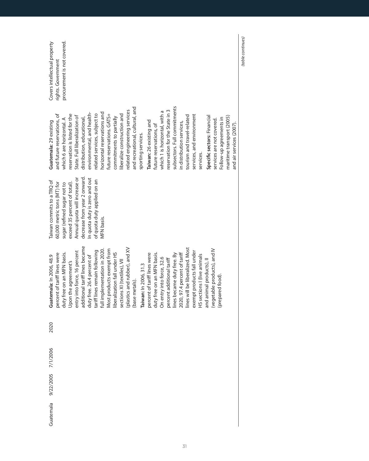| procurement is not covered.<br>Covers intellectual property<br>rights. Government                                                                                                                                                                                                                                                                                                                                                                                                                                                                                                                                                                                                                                                                                                                                                                                               |  |
|---------------------------------------------------------------------------------------------------------------------------------------------------------------------------------------------------------------------------------------------------------------------------------------------------------------------------------------------------------------------------------------------------------------------------------------------------------------------------------------------------------------------------------------------------------------------------------------------------------------------------------------------------------------------------------------------------------------------------------------------------------------------------------------------------------------------------------------------------------------------------------|--|
| subsectors. Full commitments<br>and recreational, cultural, and<br>related engineering services<br>reservation for the State in 3<br>which 1 is horizontal, with a<br>horizontal reservations and<br>environmental, and health-<br>related services, subject to<br>reservation is listed for the<br>future reservations. GATS+<br>liberalize construction and<br>and future reservations, of<br>services, and environment<br>tourism and travel-related<br>State. Full liberalization of<br>Specific sectors: Financial<br>commitments to partially<br>maritime transport (2005)<br>distribution, educational,<br>Follow-up agreements in<br>which 6 are horizontal. A<br>services are not covered.<br>Taiwan: 26 existing and<br>Guatemala: 29 existing<br>in distribution services,<br>and air services (2007).<br>future reservations, of<br>sporting services.<br>services. |  |
| decrease from year 2 onward.<br>Annual quota will increase or<br>In quota duty is zero and out<br>of quota duty applied on an<br>Taiwan commits to a TRQ of<br>60,000 metric tons (MT) for<br>exceed 35 percent of total).<br>sugar (refined sugar not to<br>MFN basis.                                                                                                                                                                                                                                                                                                                                                                                                                                                                                                                                                                                                         |  |
| additional tariff lines became<br>(plastics and rubber), and XV<br>lines will be liberalized. Most<br>full implementation in 2020<br>Most products exempt from<br>(vegetable products), and IV<br>tariff lines remain following<br>entry into force, 16 percent<br>exempt products fall under<br>liberalization fall under HS<br>duty free on an MFN basis.<br>duty free on an MFN basis.<br>percent of tariff lines were<br>percent of tariff lines were<br>2020, 97.4 percent of tariff<br>lines became duty free. By<br>HS sections I (live animals<br>Guatemala: In 2006, 48.9<br>duty free. 26.4 percent of<br>On entry into force, 32.6<br>percent additional tariff<br>and animal products), ll<br>sections XI (textiles), VII<br>Upon the agreement's<br>Taiwan: In 2006, 31.3<br>(prepared food)<br>(base metals).                                                     |  |
| 2020                                                                                                                                                                                                                                                                                                                                                                                                                                                                                                                                                                                                                                                                                                                                                                                                                                                                            |  |
|                                                                                                                                                                                                                                                                                                                                                                                                                                                                                                                                                                                                                                                                                                                                                                                                                                                                                 |  |
| 9/22/2005 7/1/2006                                                                                                                                                                                                                                                                                                                                                                                                                                                                                                                                                                                                                                                                                                                                                                                                                                                              |  |
| Guatemala                                                                                                                                                                                                                                                                                                                                                                                                                                                                                                                                                                                                                                                                                                                                                                                                                                                                       |  |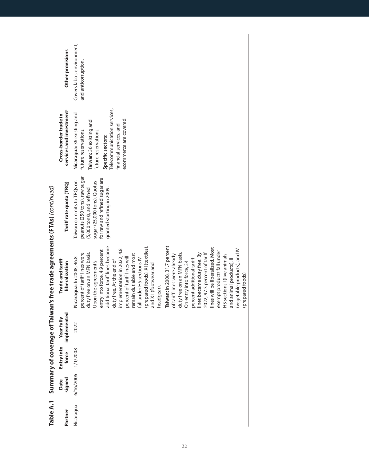| Table A.1 |                    | Summary of coverage of 1 |                                | Taiwan's free trade agreements (FTAs) (continued)                                                                                                                                                                                                                                                                                                                                                                                                                                                                                                                                                                                                                                                                                                                                                                     |                                                                                                                                                                                      |                                                                                                                                                                                                                |                                                   |
|-----------|--------------------|--------------------------|--------------------------------|-----------------------------------------------------------------------------------------------------------------------------------------------------------------------------------------------------------------------------------------------------------------------------------------------------------------------------------------------------------------------------------------------------------------------------------------------------------------------------------------------------------------------------------------------------------------------------------------------------------------------------------------------------------------------------------------------------------------------------------------------------------------------------------------------------------------------|--------------------------------------------------------------------------------------------------------------------------------------------------------------------------------------|----------------------------------------------------------------------------------------------------------------------------------------------------------------------------------------------------------------|---------------------------------------------------|
| Partner   | signed<br>Date     | Entry into<br>force      | ited<br>Year fully<br>implemen | Trade and tariff<br>liberalization                                                                                                                                                                                                                                                                                                                                                                                                                                                                                                                                                                                                                                                                                                                                                                                    | Tariff rate quota (TRQ)                                                                                                                                                              | services and investment <sup>®</sup><br>Cross-border trade in                                                                                                                                                  | Other provisions                                  |
| Nicaragua | 6/16/2006 1/1/2008 |                          | 2022                           | additional tariff lines became<br>Taiwan: In 2008, 31.7 percent<br>(prepared foods), XI (textiles)<br>lines will be liberalized. Most<br>implementation in 2022, 4.8<br>(vegetable products), and IV<br>entry into force, 4.9 percent<br>exempt products fall under<br>duty free on an MFN basis.<br>percent of tariff lines were<br>duty free on an MFN basis.<br>2022, 97.3 percent of tariff<br>lines became duty free. By<br>remain dutiable and most<br>HS sections I (live animals<br>of tariff lines were already<br>Nicaragua: In 2008, 46.8<br>percent of tariff lines will<br>fall under HS sections IV<br>percent additional tariff<br>and animal products), II<br>duty free. At the end of<br>Upon the agreement's<br>On entry into force, 34<br>and XII (footwear and<br>(prepared foods).<br>headgear). | peanuts (250 tons), raw sugar<br>for raw and refined sugar are<br>Taiwan commits to TRQs on<br>sugar (25,000 tons). Quotas<br>(5,000 tons), and refined<br>granted starting in 2009. | Telecommunication services,<br>Nicaragua: 36 existing and<br>ecommerce are covered.<br>Taiwan: 36 existing and<br>financial services, and<br>future reservations.<br>future reservations.<br>Specific sectors: | Covers labor, environment,<br>and anticorruption. |

| $\begin{array}{c} \begin{array}{c} \begin{array}{c} \end{array} \\ \begin{array}{c} \end{array} \end{array} \end{array}$ |
|--------------------------------------------------------------------------------------------------------------------------|
|                                                                                                                          |
|                                                                                                                          |
|                                                                                                                          |
|                                                                                                                          |
|                                                                                                                          |
|                                                                                                                          |
|                                                                                                                          |
|                                                                                                                          |
|                                                                                                                          |
|                                                                                                                          |
|                                                                                                                          |
|                                                                                                                          |
|                                                                                                                          |
|                                                                                                                          |
|                                                                                                                          |
|                                                                                                                          |
|                                                                                                                          |
|                                                                                                                          |
|                                                                                                                          |
| ֚֚֬                                                                                                                      |
|                                                                                                                          |
|                                                                                                                          |
|                                                                                                                          |
|                                                                                                                          |
|                                                                                                                          |
|                                                                                                                          |
|                                                                                                                          |
|                                                                                                                          |
|                                                                                                                          |
|                                                                                                                          |
|                                                                                                                          |
|                                                                                                                          |
|                                                                                                                          |
|                                                                                                                          |
|                                                                                                                          |
|                                                                                                                          |
|                                                                                                                          |
|                                                                                                                          |
|                                                                                                                          |
|                                                                                                                          |
|                                                                                                                          |
|                                                                                                                          |
|                                                                                                                          |
|                                                                                                                          |
|                                                                                                                          |
|                                                                                                                          |
|                                                                                                                          |
| $\overline{\phantom{a}}$                                                                                                 |
|                                                                                                                          |
|                                                                                                                          |
|                                                                                                                          |
|                                                                                                                          |
|                                                                                                                          |
|                                                                                                                          |
|                                                                                                                          |
|                                                                                                                          |
|                                                                                                                          |
|                                                                                                                          |
|                                                                                                                          |
|                                                                                                                          |
|                                                                                                                          |
|                                                                                                                          |
| ֧֚֚֝<br>֧֚֚֝<br>֚֝                                                                                                       |
|                                                                                                                          |
|                                                                                                                          |
|                                                                                                                          |
|                                                                                                                          |
|                                                                                                                          |
|                                                                                                                          |
|                                                                                                                          |
|                                                                                                                          |
|                                                                                                                          |
|                                                                                                                          |
|                                                                                                                          |
|                                                                                                                          |
|                                                                                                                          |
|                                                                                                                          |
|                                                                                                                          |
|                                                                                                                          |
|                                                                                                                          |
|                                                                                                                          |
|                                                                                                                          |
|                                                                                                                          |
|                                                                                                                          |
|                                                                                                                          |
|                                                                                                                          |
|                                                                                                                          |
|                                                                                                                          |
|                                                                                                                          |
|                                                                                                                          |
|                                                                                                                          |
|                                                                                                                          |
| l                                                                                                                        |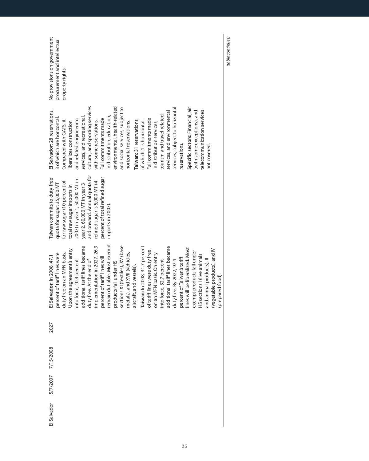| No provisions on government   | procurement and intellectual | property rights.             |                            |                               |                                |                                 |                              |                                |                              |                               |                                  |                              |                          |                               |                                |                           |                            |                                |                                 |                            |                                  |                             |                             |                          |                              |                  | (table continues) |
|-------------------------------|------------------------------|------------------------------|----------------------------|-------------------------------|--------------------------------|---------------------------------|------------------------------|--------------------------------|------------------------------|-------------------------------|----------------------------------|------------------------------|--------------------------|-------------------------------|--------------------------------|---------------------------|----------------------------|--------------------------------|---------------------------------|----------------------------|----------------------------------|-----------------------------|-----------------------------|--------------------------|------------------------------|------------------|-------------------|
| El Salvador: 28 reservations, | 3 of which are horizontal    | Compared with GATS, it       | iberalizes construction    | and related engineering       | services, and recreational,    | cultural, and sporting services | with some reservations.      | Full commitments made          | in distribution, education,  | environmental, health-related | and social services, subject to  | horizontal reservations.     | Taiwan: 31 reservations, | of which 1 is horizontal.     | Full commitments made          | in distribution services, | tourism and travel-related | services, and environmental    | services, subject to horizontal | reservations.              | Specific sectors: Financial, air | (with some exceptions), and | telecommunication services  | not covered.             |                              |                  |                   |
| Taiwan commits to duty-free   | quota for sugar: 35,000 MT   | for raw sugar (10 percent of | total raw sugar imports in | 2007) in year 1, 50,000 MT in | year 2, 60,000 MT in year 3    | and onward. Annual quota for    | refined sugar is 5,000 MT (4 | percent of total refined sugar | imports in 2007).            |                               |                                  |                              |                          |                               |                                |                           |                            |                                |                                 |                            |                                  |                             |                             |                          |                              |                  |                   |
| El Salvador: In 2008, 47.1    | percent of tariff lines were | duty free on an MFN basis.   | Upon the agreement's entry | into force, 10.4 percent      | additional tariff lines became | duty free. At the end of        | implementation in 2027, 26.9 | percent of tariff lines will   | remain dutiable. Most exempt | products fall under HS        | sections XI (textiles), XV (base | metals), and XVII (vehicles, | aircraft, and vessels).  | Taiwan: In 2008, 31.7 percent | of tariff lines were duty free | on an MFN basis. On entry | into force, 32.7 percent   | additional tariff lines became | duty free. By 2022, 97.4        | percent of Taiwan's tariff | lines will be liberalized. Most  | exempt products fall under  | HS sections I (live animals | and animal products), ll | (vegetable products), and IV | (prepared food). |                   |
| 2027                          |                              |                              |                            |                               |                                |                                 |                              |                                |                              |                               |                                  |                              |                          |                               |                                |                           |                            |                                |                                 |                            |                                  |                             |                             |                          |                              |                  |                   |
| 5/7/2007 7/15/2008            |                              |                              |                            |                               |                                |                                 |                              |                                |                              |                               |                                  |                              |                          |                               |                                |                           |                            |                                |                                 |                            |                                  |                             |                             |                          |                              |                  |                   |
|                               |                              |                              |                            |                               |                                |                                 |                              |                                |                              |                               |                                  |                              |                          |                               |                                |                           |                            |                                |                                 |                            |                                  |                             |                             |                          |                              |                  |                   |
| El Salvador                   |                              |                              |                            |                               |                                |                                 |                              |                                |                              |                               |                                  |                              |                          |                               |                                |                           |                            |                                |                                 |                            |                                  |                             |                             |                          |                              |                  |                   |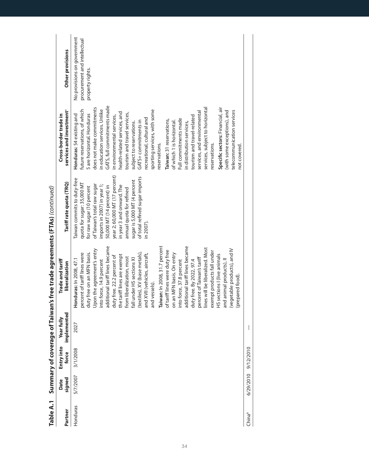|          |                |                     |                               | Table A.1 Summary of coverage of Taiwan's free trade agreements (FTAs) (continued)                                                                                                                                                                                                                                                                                                                                                                                                                                                                                                                                                                                                                                                                                                                 |                                                                                                                                                                                                                                                                                                                                                           |                                                                                                                                                                                                                                                                                                                                                                                                                                                                                                                                                                                                                                                                                                                                                                     |                                                                                 |
|----------|----------------|---------------------|-------------------------------|----------------------------------------------------------------------------------------------------------------------------------------------------------------------------------------------------------------------------------------------------------------------------------------------------------------------------------------------------------------------------------------------------------------------------------------------------------------------------------------------------------------------------------------------------------------------------------------------------------------------------------------------------------------------------------------------------------------------------------------------------------------------------------------------------|-----------------------------------------------------------------------------------------------------------------------------------------------------------------------------------------------------------------------------------------------------------------------------------------------------------------------------------------------------------|---------------------------------------------------------------------------------------------------------------------------------------------------------------------------------------------------------------------------------------------------------------------------------------------------------------------------------------------------------------------------------------------------------------------------------------------------------------------------------------------------------------------------------------------------------------------------------------------------------------------------------------------------------------------------------------------------------------------------------------------------------------------|---------------------------------------------------------------------------------|
| Partner  | signed<br>Date | Entry into<br>force | Ted<br>Year fully<br>implemen | Trade and tariff<br>liberalization                                                                                                                                                                                                                                                                                                                                                                                                                                                                                                                                                                                                                                                                                                                                                                 | Tariff rate quota (TRQ)                                                                                                                                                                                                                                                                                                                                   | services and investment <sup>®</sup><br>Cross-border trade in                                                                                                                                                                                                                                                                                                                                                                                                                                                                                                                                                                                                                                                                                                       | Other provisions                                                                |
| Honduras | 5/7/2007       | 3/1/2008            | 2027                          | Taiwan: In 2008, 31.7 percent<br>additional tariff lines became<br>additional tariff lines became<br>lines will be liberalized. Most<br>Upon the agreement's entry<br>(vegetable products), and IV<br>of tariff lines were duty free<br>exempt products fall under<br>duty free on an MFN basis.<br>percent of tariff lines were<br>(textiles), XV (base metals),<br>and XVII (vehicles, aircraft,<br>on an MFN basis. On entry<br>HS sections I (live animals<br>the tariff lines are exempt<br>duty free. 22.2 percent of<br>from liberalization, most<br>percent of Taiwan's tariff<br>fall under HS sections XI<br>Honduras: In 2008, 47.1<br>into force, 14.9 percent<br>into force, 37.8 percent<br>and animal products), ll<br>duty free. By 2022, 97.4<br>(prepared food)<br>and vessels). | year 2; 60,000 MT (17 percent)<br>of total refined sugar imports<br>Taiwan commits to duty-free<br>sugar is 5,000 MT (4 percent<br>quota for sugar: 35,000 MT<br>imports in 2007) in year 1;<br>of Taiwan's total raw sugar<br>50,000 MT (14 percent) in<br>in year 3 and onward. The<br>for raw sugar (10 percent<br>annual quota for refined<br>n 2007) | GATS, full commitments made<br>does not make commitments<br>Specific sectors: Financial, air<br>services, subject to horizontal<br>sporting services, with some<br>future reservations, of which<br>n education services. Unlike<br>telecommunication services<br>(with some exceptions), and<br>services, and environmental<br>nealth-related services, and<br>tourism and travel services,<br>5 are horizontal. Honduras<br>Honduras: 54 existing and<br>in environmental services,<br>tourism and travel-related<br>recreational, cultural and<br>Full commitments made<br>Taiwan: 31 reservations,<br>GATS+commitments in<br>of which 1 is horizontal<br>subject to reservations.<br>in distribution services,<br>eservations.<br>reservations.<br>not covered. | No provisions on government<br>procurement and intellectual<br>property rights. |
| Chinab   | 6/29/2010      | 9/12/2010           |                               |                                                                                                                                                                                                                                                                                                                                                                                                                                                                                                                                                                                                                                                                                                                                                                                                    |                                                                                                                                                                                                                                                                                                                                                           |                                                                                                                                                                                                                                                                                                                                                                                                                                                                                                                                                                                                                                                                                                                                                                     |                                                                                 |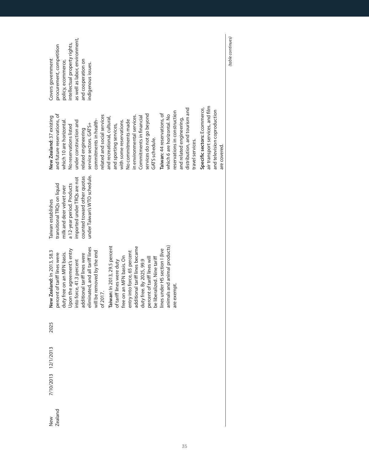| Vew     | 7/10/2013 12/1/2013 | 2025 | New Zealand: In 2013, 58.3       | Taiwan establishes           | New Zealand: 37 existing         | Covers government              |
|---------|---------------------|------|----------------------------------|------------------------------|----------------------------------|--------------------------------|
| Zealand |                     |      | percent of tariff lines were     | transitional TRQs on liquid  | and future reservations, of      | procurement, competition       |
|         |                     |      | duty free on an MFN basis.       | milk and deer velvet over    | which 10 are horizontal          | policy, ecommerce,             |
|         |                     |      | Upon the agreement's entry       | a 12-year period. Products   | No reservations listed           | intellectual property rights,  |
|         |                     |      | into force, 41.3 percent         | imported under TRQs are not  | under construction and           | as well as labor, environment, |
|         |                     |      | additional tariff lines were     | counted toward other quotas  | related engineering              | and cooperation on             |
|         |                     |      | eliminated, and all tariff lines | under Taiwan's WTO schedule. | service sectors. GATS+           | indigenous issues.             |
|         |                     |      | will be removed by the end       |                              | commitments in health-           |                                |
|         |                     |      | of 2017.                         |                              | related and social services      |                                |
|         |                     |      | Taiwan: In 2013, 29.5 percent    |                              | and recreational, cultural,      |                                |
|         |                     |      | of tariff lines were duty        |                              | and sporting services,           |                                |
|         |                     |      | free on an MFN basis. On         |                              | with some reservations.          |                                |
|         |                     |      | entry into force, 65 percent     |                              | No commitments made              |                                |
|         |                     |      | additional tariff lines became   |                              | in environmental services.       |                                |
|         |                     |      | duty free. By 2025, 99.9         |                              | Commitments in financial         |                                |
|         |                     |      | percent of tariff lines will     |                              | services do not go beyond        |                                |
|         |                     |      | be liberalized. Nine tariff      |                              | GATS schedule.                   |                                |
|         |                     |      | lines under HS section I (live   |                              | Taiwan: 44 reservations, of      |                                |
|         |                     |      | animals and animal products)     |                              | which 6 are horizontal. No       |                                |
|         |                     |      | are exempt.                      |                              | reservations in construction     |                                |
|         |                     |      |                                  |                              | and related engineering,         |                                |
|         |                     |      |                                  |                              | distribution, and tourism and    |                                |
|         |                     |      |                                  |                              | travel services.                 |                                |
|         |                     |      |                                  |                              | Specific sectors: Ecommerce,     |                                |
|         |                     |      |                                  |                              | air transport services, and film |                                |
|         |                     |      |                                  |                              | and television coproduction      |                                |
|         |                     |      |                                  |                              | are covered.                     |                                |

(table continues) (table continues)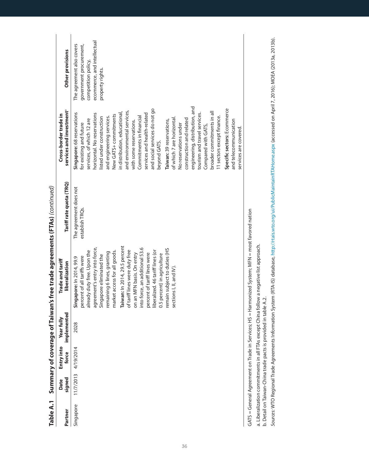| Table A.1 |                |                     |                             | Summary of coverage of Taiwan's free trade agreements (FTAs) (continued)                                                                                                                                                                                                                                                                                                                                                                                                                                            |                                           |                                                                                                                                                                                                                                                                                                                                                                                                                                                                                                                                                                                                                                                                                                                                                                  |                                                                                                                                |
|-----------|----------------|---------------------|-----------------------------|---------------------------------------------------------------------------------------------------------------------------------------------------------------------------------------------------------------------------------------------------------------------------------------------------------------------------------------------------------------------------------------------------------------------------------------------------------------------------------------------------------------------|-------------------------------------------|------------------------------------------------------------------------------------------------------------------------------------------------------------------------------------------------------------------------------------------------------------------------------------------------------------------------------------------------------------------------------------------------------------------------------------------------------------------------------------------------------------------------------------------------------------------------------------------------------------------------------------------------------------------------------------------------------------------------------------------------------------------|--------------------------------------------------------------------------------------------------------------------------------|
| Partner   | signed<br>Date | Entry into<br>force | implemented<br>≧<br>Year fu | Trade and tariff<br>liberalization                                                                                                                                                                                                                                                                                                                                                                                                                                                                                  | Tariff rate quota (TRQ)                   | services and investment <sup>®</sup><br>Cross-border trade in                                                                                                                                                                                                                                                                                                                                                                                                                                                                                                                                                                                                                                                                                                    | Other provisions                                                                                                               |
| Singapore |                | 11/7/2013 4/19/2014 | 2028                        | Taiwan: In 2014, 29.5 percent<br>agreement's entry into force,<br>into force, an additional 53.6<br>remain subject to duties (HS<br>already duty free. Upon the<br>liberalized. 46 tariff lines (or<br>market access for all goods.<br>of tariff lines were duty free<br>remaining 6 lines, granting<br>percent of tariff lines were<br>0.5 percent) in agriculture<br>on an MFN basis. On entry<br>Singapore eliminated the<br>percent of all tariffs were<br>Singapore: In 2014, 99.9<br>sections I, II, and IV). | The agreement does not<br>establish TRQs. | engineering, distribution, and<br>Specific sectors: Ecommerce<br>and social services do not go<br>and environmental services,<br>broader commitments in all<br>in distribution, educational,<br>Singapore: 68 reservations<br>services and health-related<br>tourism and travel services.<br>horizontal. No reservations<br>New GATS+ commitments<br>Commitments in financial<br>and engineering services.<br>11 sectors except finance.<br>listed under construction<br>of which 7 are horizontal.<br>construction and related<br>services, of which 12 are<br>Taiwan: 39 reservations,<br>and telecommunication<br>with some reservations.<br>for existing and future<br>No reservations under<br>Compared with GATS,<br>services are covered.<br>beyond GATS. | ecommerce, and intellectual<br>The agreement also covers<br>government procurement,<br>competition policy,<br>property rights. |
|           |                |                     |                             | GATS = General Agreement on Trade in Services; HS = Harmonized System; MFN = most favored nation                                                                                                                                                                                                                                                                                                                                                                                                                    |                                           |                                                                                                                                                                                                                                                                                                                                                                                                                                                                                                                                                                                                                                                                                                                                                                  |                                                                                                                                |

a. Liberalization commitments in all FTAs except China follow a negative list approach.

a. Liberalization commitments in all FTAs except China follow a negative list approach.<br>b. Detail on Taiwan-China trade pacts is provided in table A.2.

b. Detail on Taiwan-China trade pacts is provided in table A.2.

Sources: WTO Regional Trade Agreements Information System (RTA-IS) database, http://rtais.wto.org/ui/PublicMaintainRTAHome.aspx (accessed on April 7, 2016); MOEA (2013a, 2013b). Sources: WTO Regional Trade Agreements Information System (RTA-IS) database, http://rtais.wto.org/ui/PublicMaintainRTAHome.aspx (accessed on April 7, 2016); MOEA (2013a, 2013b).

36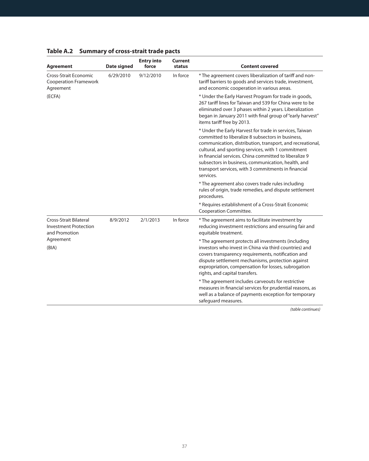| Agreement                                                                      | Date signed | <b>Entry into</b><br>force | <b>Current</b><br>status | <b>Content covered</b>                                                                                                                                                                                                                                                                                                                                                                                              |
|--------------------------------------------------------------------------------|-------------|----------------------------|--------------------------|---------------------------------------------------------------------------------------------------------------------------------------------------------------------------------------------------------------------------------------------------------------------------------------------------------------------------------------------------------------------------------------------------------------------|
| <b>Cross-Strait Economic</b><br><b>Cooperation Framework</b><br>Agreement      | 6/29/2010   | 9/12/2010                  | In force                 | * The agreement covers liberalization of tariff and non-<br>tariff barriers to goods and services trade, investment,<br>and economic cooperation in various areas.                                                                                                                                                                                                                                                  |
| (ECFA)                                                                         |             |                            |                          | * Under the Early Harvest Program for trade in goods,<br>267 tariff lines for Taiwan and 539 for China were to be<br>eliminated over 3 phases within 2 years. Liberalization<br>began in January 2011 with final group of "early harvest"<br>items tariff free by 2013.                                                                                                                                             |
|                                                                                |             |                            |                          | * Under the Early Harvest for trade in services, Taiwan<br>committed to liberalize 8 subsectors in business.<br>communication, distribution, transport, and recreational,<br>cultural, and sporting services, with 1 commitment<br>in financial services. China committed to liberalize 9<br>subsectors in business, communication, health, and<br>transport services, with 3 commitments in financial<br>services. |
|                                                                                |             |                            |                          | * The agreement also covers trade rules including<br>rules of origin, trade remedies, and dispute settlement<br>procedures.                                                                                                                                                                                                                                                                                         |
|                                                                                |             |                            |                          | * Requires establishment of a Cross-Strait Economic<br>Cooperation Committee.                                                                                                                                                                                                                                                                                                                                       |
| <b>Cross-Strait Bilateral</b><br><b>Investment Protection</b><br>and Promotion | 8/9/2012    | 2/1/2013                   | In force                 | * The agreement aims to facilitate investment by<br>reducing investment restrictions and ensuring fair and<br>equitable treatment.                                                                                                                                                                                                                                                                                  |
| Agreement<br>(BIA)                                                             |             |                            |                          | * The agreement protects all investments (including<br>investors who invest in China via third countries) and<br>covers transparency requirements, notification and<br>dispute settlement mechanisms, protection against<br>expropriation, compensation for losses, subrogation<br>rights, and capital transfers.                                                                                                   |
|                                                                                |             |                            |                          | * The agreement includes carveouts for restrictive<br>measures in financial services for prudential reasons, as<br>well as a balance of payments exception for temporary<br>safequard measures.                                                                                                                                                                                                                     |

## <span id="page-36-0"></span>**Table A.2 Summary of cross-strait trade pacts**

(table continues)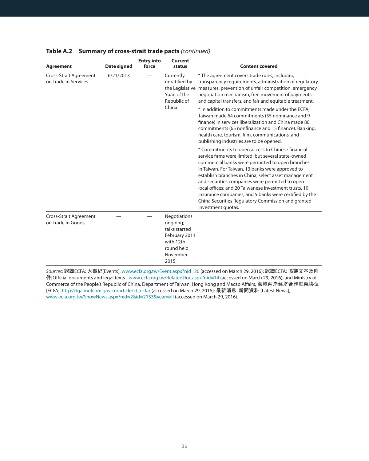| <b>Agreement</b>                                   | <b>Date signed</b> | <b>Entry into</b><br>force | Current<br>status                                                                                          | <b>Content covered</b>                                                                                                                                                                                                                                                                                                                                                                                                                                                                                                     |
|----------------------------------------------------|--------------------|----------------------------|------------------------------------------------------------------------------------------------------------|----------------------------------------------------------------------------------------------------------------------------------------------------------------------------------------------------------------------------------------------------------------------------------------------------------------------------------------------------------------------------------------------------------------------------------------------------------------------------------------------------------------------------|
| Cross-Strait Agreement<br>on Trade in Services     | 6/21/2013          |                            | Currently<br>unratified by<br>Yuan of the<br>Republic of                                                   | * The agreement covers trade rules, including<br>transparency requirements, administration of regulatory<br>the Legislative measures, prevention of unfair competition, emergency<br>negotiation mechanism, free movement of payments<br>and capital transfers, and fair and equitable treatment.                                                                                                                                                                                                                          |
|                                                    |                    |                            | China                                                                                                      | * In addition to commitments made under the ECFA.<br>Taiwan made 64 commitments (55 nonfinance and 9<br>finance) in services liberalization and China made 80<br>commitments (65 nonfinance and 15 finance). Banking,<br>health care, tourism, film, communications, and<br>publishing industries are to be opened.                                                                                                                                                                                                        |
|                                                    |                    |                            |                                                                                                            | * Commitments to open access to Chinese financial<br>service firms were limited, but several state-owned<br>commercial banks were permitted to open branches<br>in Taiwan. For Taiwan, 13 banks were approved to<br>establish branches in China; select asset management<br>and securities companies were permitted to open<br>local offices; and 20 Taiwanese investment trusts, 10<br>insurance companies, and 5 banks were certified by the<br>China Securities Regulatory Commission and granted<br>investment quotas. |
| <b>Cross-Strait Agreement</b><br>on Trade in Goods |                    |                            | Negotiations<br>ongoing;<br>talks started<br>February 2011<br>with 12th<br>round held<br>November<br>2015. |                                                                                                                                                                                                                                                                                                                                                                                                                                                                                                                            |

#### **Table A.2 Summary of cross-strait trade pacts** (continued)

Sources: 認識ECFA: 大事紀[Events], www.ecfa.org.tw/Event.aspx?nid=26 (accessed on March 29, 2016); 認識ECFA: 協議文本及附 ↅ[Official documents and legal texts], www.ecfa.org.tw/RelatedDoc.aspx?nid=14 (accessed on March 29, 2016); and Ministry of Commerce of the People's Republic of China, Department of Taiwan, Hong Kong and Macao Affairs, 海峡两岸经济合作框架协议 [ECFA], http://tga.mofcom.gov.cn/article/zt\_ecfa/ (accessed on March 29, 2016); 最新消息: 新聞資料 [Latest News], www.ecfa.org.tw/ShowNews.aspx?nid=2&id=2153&year=all (accessed on March 29, 2016).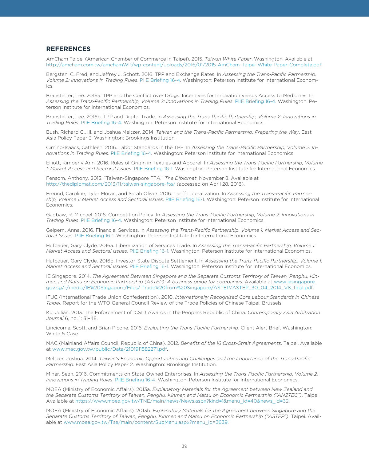#### **REFERENCES**

**REFERENCES** AmCham Taipei (American Chamber of Commerce in Taipei). 2015. *Taiwan White Paper*. Washington. Available at http://amcham.com.tw/amchamWP/wp-content/uploads/2016/01/2015-AmCham-Taipei-White-Paper-Complete.pdf.

Bergsten, C. Fred, and Jeffrey J. Schott. 2016. TPP and Exchange Rates. In *Assessing the Trans-Pacific Partnership, Volume 2: Innovations in Trading Rules*. [PIIE Briefing 16-4](https://piie.com/publications/piie-briefings/assessing-trans-pacific-partnership-volume-2-innovations-trading-rules). Washington: Peterson Institute for International Economics.

Branstetter, Lee. 2016a. TPP and the Conflict over Drugs: Incentives for Innovation versus Access to Medicines. In *Assessing the Trans-Pacific Partnership, Volume 2: Innovations in Trading Rules*. [PIIE Briefing 16-4.](https://piie.com/publications/piie-briefings/assessing-trans-pacific-partnership-volume-2-innovations-trading-rules) Washington: Peterson Institute for International Economics.

Branstetter, Lee. 2016b. TPP and Digital Trade. In *Assessing the Trans-Pacific Partnership, Volume 2: Innovations in Trading Rules*. [PIIE Briefing 16-4](https://piie.com/publications/piie-briefings/assessing-trans-pacific-partnership-volume-2-innovations-trading-rules). Washington: Peterson Institute for International Economics.

Bush, Richard C., III, and Joshua Meltzer. 2014. *Taiwan and the Trans-Pacific Partnership: Preparing the Way*. East Asia Policy Paper 3. Washington: Brookings Institution.

Cimino-Isaacs, Cathleen. 2016. Labor Standards in the TPP. In *Assessing the Trans-Pacific Partnership, Volume 2: Innovations in Trading Rules*. [PIIE Briefing 16-4.](https://piie.com/publications/piie-briefings/assessing-trans-pacific-partnership-volume-2-innovations-trading-rules) Washington: Peterson Institute for International Economics.

Elliott, Kimberly Ann. 2016. Rules of Origin in Textiles and Apparel. In *Assessing the Trans-Pacific Partnership, Volume 1: Market Access and Sectoral Issues*. [PIIE Briefing 16-1](https://piie.com/publications/piie-briefings/assessing-trans-pacific-partnership-volume-1-market-access-and-sectoral). Washington: Peterson Institute for International Economics.

Fensom, Anthony. 2013. "Taiwan-Singapore FTA." *The Diplomat*, November 8. Available at http://thediplomat.com/2013/11/taiwan-singapore-fta/ (accessed on April 28, 2016).

Freund, Caroline, Tyler Moran, and Sarah Oliver. 2016. Tariff Liberalization. In *Assessing the Trans-Pacific Partnership, Volume 1: Market Access and Sectoral Issues*. [PIIE Briefing 16-1.](https://piie.com/publications/piie-briefings/assessing-trans-pacific-partnership-volume-1-market-access-and-sectoral) Washington: Peterson Institute for International Economics.

Gadbaw, R. Michael. 2016. Competition Policy. In *Assessing the Trans-Pacific Partnership, Volume 2: Innovations in Trading Rules*. [PIIE Briefing 16-4](https://piie.com/publications/piie-briefings/assessing-trans-pacific-partnership-volume-2-innovations-trading-rules). Washington: Peterson Institute for International Economics.

Gelpern, Anna. 2016. Financial Services. In *Assessing the Trans-Pacific Partnership, Volume 1: Market Access and Sectoral Issues*. [PIIE Briefing 16-1.](https://piie.com/publications/piie-briefings/assessing-trans-pacific-partnership-volume-1-market-access-and-sectoral) Washington: Peterson Institute for International Economics.

Hufbauer, Gary Clyde. 2016a. Liberalization of Services Trade. In *Assessing the Trans-Pacific Partnership, Volume 1: Market Access and Sectoral Issues*. [PIIE Briefing 16-1.](https://piie.com/publications/piie-briefings/assessing-trans-pacific-partnership-volume-1-market-access-and-sectoral) Washington: Peterson Institute for International Economics.

Hufbauer, Gary Clyde. 2016b. Investor-State Dispute Settlement. In *Assessing the Trans-Pacific Partnership, Volume 1: Market Access and Sectoral Issues*. [PIIE Briefing 16-1.](https://piie.com/publications/piie-briefings/assessing-trans-pacific-partnership-volume-1-market-access-and-sectoral) Washington: Peterson Institute for International Economics.

IE Singapore. 2014. *The Agreement Between Singapore and the Separate Customs Territory of Taiwan, Penghu, Kinmen and Matsu on Economic Partnership (ASTEP): A business guide for companies*. Available at www.iesingapore. [gov.sg/~/media/IE%20Singapore/Files/ Trade%20from%20Singapore/ASTEP/ASTEP\\_30\\_04\\_2014\\_V8\\_final.pdf.](www.iesingapore.gov.sg/~/media/IE%20Singapore/Files/ Trade%20from%20Singapore/ASTEP/ASTEP_30_04_2014_V8_final.pdf) 

ITUC (International Trade Union Confederation). 2010. *Internationally Recognised Core Labour Standards in Chinese Taipei*. Report for the WTO General Council Review of the Trade Policies of Chinese Taipei. Brussels.

Ku, Julian. 2013. The Enforcement of ICSID Awards in the People's Republic of China. *Contemporary Asia Arbitration Journal* 6, no. 1: 31–48.

Lincicome, Scott, and Brian Picone. 2016. *Evaluating the Trans-Pacific Partnership*. Client Alert Brief. Washington: White & Case.

MAC (Mainland Affairs Council, Republic of China). 2012. *Benefits of the 16 Cross-Strait Agreements*. Taipei. Available at www.mac.gov.tw/public/Data/2101911582271.pdf.

Meltzer, Joshua. 2014. *Taiwan's Economic Opportunities and Challenges and the Importance of the Trans-Pacific Partnership*. East Asia Policy Paper 2. Washington: Brookings Institution.

Miner, Sean. 2016. Commitments on State-Owned Enterprises. In *Assessing the Trans-Pacific Partnership, Volume 2: Innovations in Trading Rules*. [PIIE Briefing 16-4](https://piie.com/publications/piie-briefings/assessing-trans-pacific-partnership-volume-2-innovations-trading-rules). Washington: Peterson Institute for International Economics.

MOEA (Ministry of Economic Affairs). 2013a. *Explanatory Materials for the Agreement between New Zealand and the Separate Customs Territory of Taiwan, Penghu, Kinmen and Matsu on Economic Partnership ("ANZTEC")*. Taipei. Available at https://www.moea.gov.tw/TNE/main/news/News.aspx?kind=1&menu\_id=40&news\_id=32.

MOEA (Ministry of Economic Affairs). 2013b. *Explanatory Materials for the Agreement between Singapore and the Separate Customs Territory of Taiwan, Penghu, Kinmen and Matsu on Economic Partnership ("ASTEP")*. Taipei. Available at www.moea.gov.tw/Tse/main/content/SubMenu.aspx?menu\_id=3639.